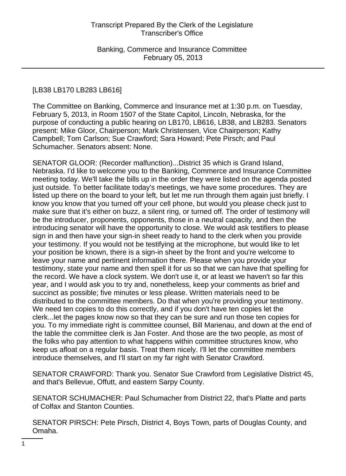# [LB38 LB170 LB283 LB616]

The Committee on Banking, Commerce and Insurance met at 1:30 p.m. on Tuesday, February 5, 2013, in Room 1507 of the State Capitol, Lincoln, Nebraska, for the purpose of conducting a public hearing on LB170, LB616, LB38, and LB283. Senators present: Mike Gloor, Chairperson; Mark Christensen, Vice Chairperson; Kathy Campbell; Tom Carlson; Sue Crawford; Sara Howard; Pete Pirsch; and Paul Schumacher. Senators absent: None.

SENATOR GLOOR: (Recorder malfunction)...District 35 which is Grand Island, Nebraska. I'd like to welcome you to the Banking, Commerce and Insurance Committee meeting today. We'll take the bills up in the order they were listed on the agenda posted just outside. To better facilitate today's meetings, we have some procedures. They are listed up there on the board to your left, but let me run through them again just briefly. I know you know that you turned off your cell phone, but would you please check just to make sure that it's either on buzz, a silent ring, or turned off. The order of testimony will be the introducer, proponents, opponents, those in a neutral capacity, and then the introducing senator will have the opportunity to close. We would ask testifiers to please sign in and then have your sign-in sheet ready to hand to the clerk when you provide your testimony. If you would not be testifying at the microphone, but would like to let your position be known, there is a sign-in sheet by the front and you're welcome to leave your name and pertinent information there. Please when you provide your testimony, state your name and then spell it for us so that we can have that spelling for the record. We have a clock system. We don't use it, or at least we haven't so far this year, and I would ask you to try and, nonetheless, keep your comments as brief and succinct as possible; five minutes or less please. Written materials need to be distributed to the committee members. Do that when you're providing your testimony. We need ten copies to do this correctly, and if you don't have ten copies let the clerk...let the pages know now so that they can be sure and run those ten copies for you. To my immediate right is committee counsel, Bill Marienau, and down at the end of the table the committee clerk is Jan Foster. And those are the two people, as most of the folks who pay attention to what happens within committee structures know, who keep us afloat on a regular basis. Treat them nicely. I'll let the committee members introduce themselves, and I'll start on my far right with Senator Crawford.

SENATOR CRAWFORD: Thank you. Senator Sue Crawford from Legislative District 45, and that's Bellevue, Offutt, and eastern Sarpy County.

SENATOR SCHUMACHER: Paul Schumacher from District 22, that's Platte and parts of Colfax and Stanton Counties.

SENATOR PIRSCH: Pete Pirsch, District 4, Boys Town, parts of Douglas County, and Omaha.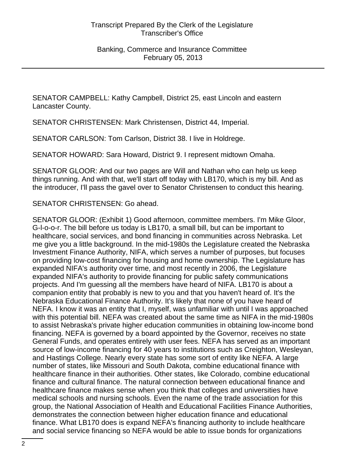SENATOR CAMPBELL: Kathy Campbell, District 25, east Lincoln and eastern Lancaster County.

SENATOR CHRISTENSEN: Mark Christensen, District 44, Imperial.

SENATOR CARLSON: Tom Carlson, District 38. I live in Holdrege.

SENATOR HOWARD: Sara Howard, District 9. I represent midtown Omaha.

SENATOR GLOOR: And our two pages are Will and Nathan who can help us keep things running. And with that, we'll start off today with LB170, which is my bill. And as the introducer, I'll pass the gavel over to Senator Christensen to conduct this hearing.

SENATOR CHRISTENSEN: Go ahead.

SENATOR GLOOR: (Exhibit 1) Good afternoon, committee members. I'm Mike Gloor, G-l-o-o-r. The bill before us today is LB170, a small bill, but can be important to healthcare, social services, and bond financing in communities across Nebraska. Let me give you a little background. In the mid-1980s the Legislature created the Nebraska Investment Finance Authority, NIFA, which serves a number of purposes, but focuses on providing low-cost financing for housing and home ownership. The Legislature has expanded NIFA's authority over time, and most recently in 2006, the Legislature expanded NIFA's authority to provide financing for public safety communications projects. And I'm guessing all the members have heard of NIFA. LB170 is about a companion entity that probably is new to you and that you haven't heard of. It's the Nebraska Educational Finance Authority. It's likely that none of you have heard of NEFA. I know it was an entity that I, myself, was unfamiliar with until I was approached with this potential bill. NEFA was created about the same time as NIFA in the mid-1980s to assist Nebraska's private higher education communities in obtaining low-income bond financing. NEFA is governed by a board appointed by the Governor, receives no state General Funds, and operates entirely with user fees. NEFA has served as an important source of low-income financing for 40 years to institutions such as Creighton, Wesleyan, and Hastings College. Nearly every state has some sort of entity like NEFA. A large number of states, like Missouri and South Dakota, combine educational finance with healthcare finance in their authorities. Other states, like Colorado, combine educational finance and cultural finance. The natural connection between educational finance and healthcare finance makes sense when you think that colleges and universities have medical schools and nursing schools. Even the name of the trade association for this group, the National Association of Health and Educational Facilities Finance Authorities, demonstrates the connection between higher education finance and educational finance. What LB170 does is expand NEFA's financing authority to include healthcare and social service financing so NEFA would be able to issue bonds for organizations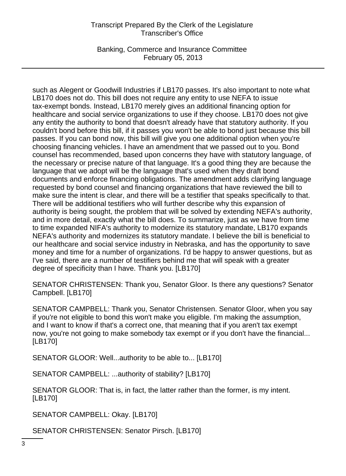Banking, Commerce and Insurance Committee February 05, 2013

such as Alegent or Goodwill Industries if LB170 passes. It's also important to note what LB170 does not do. This bill does not require any entity to use NEFA to issue tax-exempt bonds. Instead, LB170 merely gives an additional financing option for healthcare and social service organizations to use if they choose. LB170 does not give any entity the authority to bond that doesn't already have that statutory authority. If you couldn't bond before this bill, if it passes you won't be able to bond just because this bill passes. If you can bond now, this bill will give you one additional option when you're choosing financing vehicles. I have an amendment that we passed out to you. Bond counsel has recommended, based upon concerns they have with statutory language, of the necessary or precise nature of that language. It's a good thing they are because the language that we adopt will be the language that's used when they draft bond documents and enforce financing obligations. The amendment adds clarifying language requested by bond counsel and financing organizations that have reviewed the bill to make sure the intent is clear, and there will be a testifier that speaks specifically to that. There will be additional testifiers who will further describe why this expansion of authority is being sought, the problem that will be solved by extending NEFA's authority, and in more detail, exactly what the bill does. To summarize, just as we have from time to time expanded NIFA's authority to modernize its statutory mandate, LB170 expands NEFA's authority and modernizes its statutory mandate. I believe the bill is beneficial to our healthcare and social service industry in Nebraska, and has the opportunity to save money and time for a number of organizations. I'd be happy to answer questions, but as I've said, there are a number of testifiers behind me that will speak with a greater degree of specificity than I have. Thank you. [LB170]

SENATOR CHRISTENSEN: Thank you, Senator Gloor. Is there any questions? Senator Campbell. [LB170]

SENATOR CAMPBELL: Thank you, Senator Christensen. Senator Gloor, when you say if you're not eligible to bond this won't make you eligible. I'm making the assumption, and I want to know if that's a correct one, that meaning that if you aren't tax exempt now, you're not going to make somebody tax exempt or if you don't have the financial... [LB170]

SENATOR GLOOR: Well...authority to be able to... [LB170]

SENATOR CAMPBELL: ...authority of stability? [LB170]

SENATOR GLOOR: That is, in fact, the latter rather than the former, is my intent. [LB170]

SENATOR CAMPBELL: Okay. [LB170]

SENATOR CHRISTENSEN: Senator Pirsch. [LB170]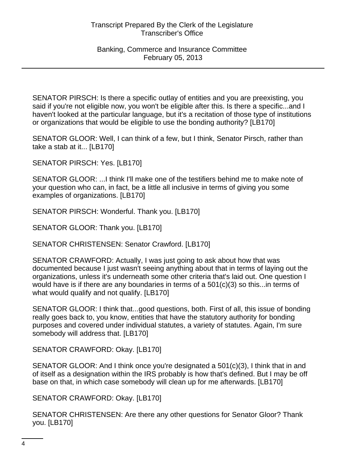SENATOR PIRSCH: Is there a specific outlay of entities and you are preexisting, you said if you're not eligible now, you won't be eligible after this. Is there a specific...and I haven't looked at the particular language, but it's a recitation of those type of institutions or organizations that would be eligible to use the bonding authority? [LB170]

SENATOR GLOOR: Well, I can think of a few, but I think, Senator Pirsch, rather than take a stab at it... [LB170]

SENATOR PIRSCH: Yes. [LB170]

SENATOR GLOOR: ...I think I'll make one of the testifiers behind me to make note of your question who can, in fact, be a little all inclusive in terms of giving you some examples of organizations. [LB170]

SENATOR PIRSCH: Wonderful. Thank you. [LB170]

SENATOR GLOOR: Thank you. [LB170]

SENATOR CHRISTENSEN: Senator Crawford. [LB170]

SENATOR CRAWFORD: Actually, I was just going to ask about how that was documented because I just wasn't seeing anything about that in terms of laying out the organizations, unless it's underneath some other criteria that's laid out. One question I would have is if there are any boundaries in terms of a 501(c)(3) so this...in terms of what would qualify and not qualify. [LB170]

SENATOR GLOOR: I think that...good questions, both. First of all, this issue of bonding really goes back to, you know, entities that have the statutory authority for bonding purposes and covered under individual statutes, a variety of statutes. Again, I'm sure somebody will address that. [LB170]

SENATOR CRAWFORD: Okay. [LB170]

SENATOR GLOOR: And I think once you're designated a 501(c)(3), I think that in and of itself as a designation within the IRS probably is how that's defined. But I may be off base on that, in which case somebody will clean up for me afterwards. [LB170]

SENATOR CRAWFORD: Okay. [LB170]

SENATOR CHRISTENSEN: Are there any other questions for Senator Gloor? Thank you. [LB170]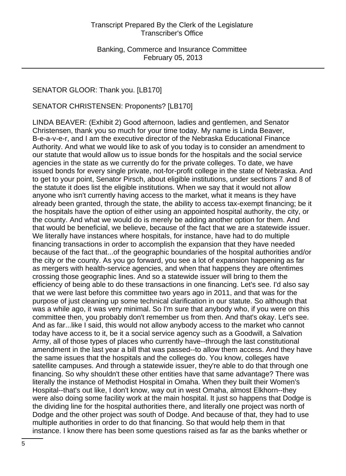# SENATOR GLOOR: Thank you. [LB170]

SENATOR CHRISTENSEN: Proponents? [LB170]

LINDA BEAVER: (Exhibit 2) Good afternoon, ladies and gentlemen, and Senator Christensen, thank you so much for your time today. My name is Linda Beaver, B-e-a-v-e-r, and I am the executive director of the Nebraska Educational Finance Authority. And what we would like to ask of you today is to consider an amendment to our statute that would allow us to issue bonds for the hospitals and the social service agencies in the state as we currently do for the private colleges. To date, we have issued bonds for every single private, not-for-profit college in the state of Nebraska. And to get to your point, Senator Pirsch, about eligible institutions, under sections 7 and 8 of the statute it does list the eligible institutions. When we say that it would not allow anyone who isn't currently having access to the market, what it means is they have already been granted, through the state, the ability to access tax-exempt financing; be it the hospitals have the option of either using an appointed hospital authority, the city, or the county. And what we would do is merely be adding another option for them. And that would be beneficial, we believe, because of the fact that we are a statewide issuer. We literally have instances where hospitals, for instance, have had to do multiple financing transactions in order to accomplish the expansion that they have needed because of the fact that...of the geographic boundaries of the hospital authorities and/or the city or the county. As you go forward, you see a lot of expansion happening as far as mergers with health-service agencies, and when that happens they are oftentimes crossing those geographic lines. And so a statewide issuer will bring to them the efficiency of being able to do these transactions in one financing. Let's see. I'd also say that we were last before this committee two years ago in 2011, and that was for the purpose of just cleaning up some technical clarification in our statute. So although that was a while ago, it was very minimal. So I'm sure that anybody who, if you were on this committee then, you probably don't remember us from then. And that's okay. Let's see. And as far...like I said, this would not allow anybody access to the market who cannot today have access to it, be it a social service agency such as a Goodwill, a Salvation Army, all of those types of places who currently have--through the last constitutional amendment in the last year a bill that was passed--to allow them access. And they have the same issues that the hospitals and the colleges do. You know, colleges have satellite campuses. And through a statewide issuer, they're able to do that through one financing. So why shouldn't these other entities have that same advantage? There was literally the instance of Methodist Hospital in Omaha. When they built their Women's Hospital--that's out like, I don't know, way out in west Omaha, almost Elkhorn--they were also doing some facility work at the main hospital. It just so happens that Dodge is the dividing line for the hospital authorities there, and literally one project was north of Dodge and the other project was south of Dodge. And because of that, they had to use multiple authorities in order to do that financing. So that would help them in that instance. I know there has been some questions raised as far as the banks whether or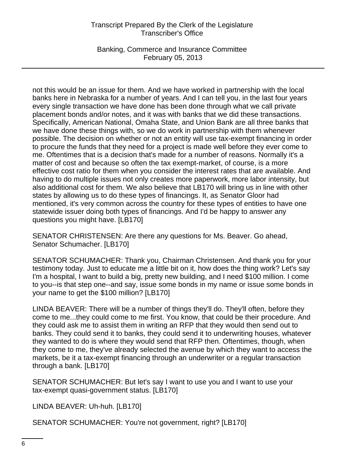Banking, Commerce and Insurance Committee February 05, 2013

not this would be an issue for them. And we have worked in partnership with the local banks here in Nebraska for a number of years. And I can tell you, in the last four years every single transaction we have done has been done through what we call private placement bonds and/or notes, and it was with banks that we did these transactions. Specifically, American National, Omaha State, and Union Bank are all three banks that we have done these things with, so we do work in partnership with them whenever possible. The decision on whether or not an entity will use tax-exempt financing in order to procure the funds that they need for a project is made well before they ever come to me. Oftentimes that is a decision that's made for a number of reasons. Normally it's a matter of cost and because so often the tax exempt-market, of course, is a more effective cost ratio for them when you consider the interest rates that are available. And having to do multiple issues not only creates more paperwork, more labor intensity, but also additional cost for them. We also believe that LB170 will bring us in line with other states by allowing us to do these types of financings. It, as Senator Gloor had mentioned, it's very common across the country for these types of entities to have one statewide issuer doing both types of financings. And I'd be happy to answer any questions you might have. [LB170]

SENATOR CHRISTENSEN: Are there any questions for Ms. Beaver. Go ahead, Senator Schumacher. [LB170]

SENATOR SCHUMACHER: Thank you, Chairman Christensen. And thank you for your testimony today. Just to educate me a little bit on it, how does the thing work? Let's say I'm a hospital, I want to build a big, pretty new building, and I need \$100 million. I come to you--is that step one--and say, issue some bonds in my name or issue some bonds in your name to get the \$100 million? [LB170]

LINDA BEAVER: There will be a number of things they'll do. They'll often, before they come to me...they could come to me first. You know, that could be their procedure. And they could ask me to assist them in writing an RFP that they would then send out to banks. They could send it to banks, they could send it to underwriting houses, whatever they wanted to do is where they would send that RFP then. Oftentimes, though, when they come to me, they've already selected the avenue by which they want to access the markets, be it a tax-exempt financing through an underwriter or a regular transaction through a bank. [LB170]

SENATOR SCHUMACHER: But let's say I want to use you and I want to use your tax-exempt quasi-government status. [LB170]

LINDA BEAVER: Uh-huh. [LB170]

SENATOR SCHUMACHER: You're not government, right? [LB170]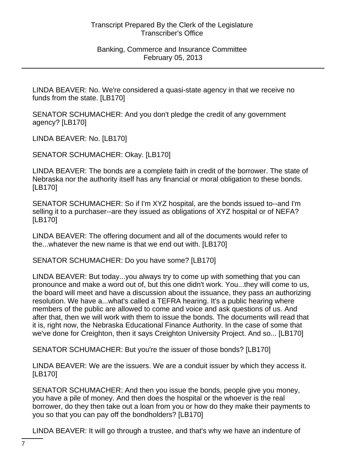LINDA BEAVER: No. We're considered a quasi-state agency in that we receive no funds from the state. [LB170]

SENATOR SCHUMACHER: And you don't pledge the credit of any government agency? [LB170]

LINDA BEAVER: No. [LB170]

SENATOR SCHUMACHER: Okay. [LB170]

LINDA BEAVER: The bonds are a complete faith in credit of the borrower. The state of Nebraska nor the authority itself has any financial or moral obligation to these bonds. [LB170]

SENATOR SCHUMACHER: So if I'm XYZ hospital, are the bonds issued to--and I'm selling it to a purchaser--are they issued as obligations of XYZ hospital or of NEFA? [LB170]

LINDA BEAVER: The offering document and all of the documents would refer to the...whatever the new name is that we end out with. [LB170]

SENATOR SCHUMACHER: Do you have some? [LB170]

LINDA BEAVER: But today...you always try to come up with something that you can pronounce and make a word out of, but this one didn't work. You...they will come to us, the board will meet and have a discussion about the issuance, they pass an authorizing resolution. We have a...what's called a TEFRA hearing. It's a public hearing where members of the public are allowed to come and voice and ask questions of us. And after that, then we will work with them to issue the bonds. The documents will read that it is, right now, the Nebraska Educational Finance Authority. In the case of some that we've done for Creighton, then it says Creighton University Project. And so... [LB170]

SENATOR SCHUMACHER: But you're the issuer of those bonds? [LB170]

LINDA BEAVER: We are the issuers. We are a conduit issuer by which they access it. [LB170]

SENATOR SCHUMACHER: And then you issue the bonds, people give you money, you have a pile of money. And then does the hospital or the whoever is the real borrower, do they then take out a loan from you or how do they make their payments to you so that you can pay off the bondholders? [LB170]

LINDA BEAVER: It will go through a trustee, and that's why we have an indenture of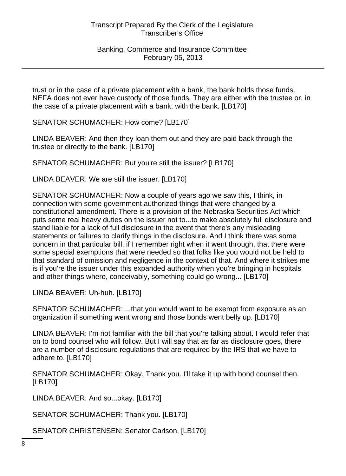trust or in the case of a private placement with a bank, the bank holds those funds. NEFA does not ever have custody of those funds. They are either with the trustee or, in the case of a private placement with a bank, with the bank. [LB170]

SENATOR SCHUMACHER: How come? [LB170]

LINDA BEAVER: And then they loan them out and they are paid back through the trustee or directly to the bank. [LB170]

SENATOR SCHUMACHER: But you're still the issuer? [LB170]

LINDA BEAVER: We are still the issuer. [LB170]

SENATOR SCHUMACHER: Now a couple of years ago we saw this, I think, in connection with some government authorized things that were changed by a constitutional amendment. There is a provision of the Nebraska Securities Act which puts some real heavy duties on the issuer not to...to make absolutely full disclosure and stand liable for a lack of full disclosure in the event that there's any misleading statements or failures to clarify things in the disclosure. And I think there was some concern in that particular bill, if I remember right when it went through, that there were some special exemptions that were needed so that folks like you would not be held to that standard of omission and negligence in the context of that. And where it strikes me is if you're the issuer under this expanded authority when you're bringing in hospitals and other things where, conceivably, something could go wrong... [LB170]

LINDA BEAVER: Uh-huh. [LB170]

SENATOR SCHUMACHER: ...that you would want to be exempt from exposure as an organization if something went wrong and those bonds went belly up. [LB170]

LINDA BEAVER: I'm not familiar with the bill that you're talking about. I would refer that on to bond counsel who will follow. But I will say that as far as disclosure goes, there are a number of disclosure regulations that are required by the IRS that we have to adhere to. [LB170]

SENATOR SCHUMACHER: Okay. Thank you. I'll take it up with bond counsel then. [LB170]

LINDA BEAVER: And so...okay. [LB170]

SENATOR SCHUMACHER: Thank you. [LB170]

SENATOR CHRISTENSEN: Senator Carlson. [LB170]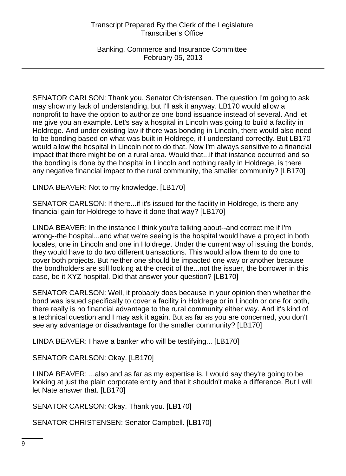Banking, Commerce and Insurance Committee February 05, 2013

SENATOR CARLSON: Thank you, Senator Christensen. The question I'm going to ask may show my lack of understanding, but I'll ask it anyway. LB170 would allow a nonprofit to have the option to authorize one bond issuance instead of several. And let me give you an example. Let's say a hospital in Lincoln was going to build a facility in Holdrege. And under existing law if there was bonding in Lincoln, there would also need to be bonding based on what was built in Holdrege, if I understand correctly. But LB170 would allow the hospital in Lincoln not to do that. Now I'm always sensitive to a financial impact that there might be on a rural area. Would that...if that instance occurred and so the bonding is done by the hospital in Lincoln and nothing really in Holdrege, is there any negative financial impact to the rural community, the smaller community? [LB170]

LINDA BEAVER: Not to my knowledge. [LB170]

SENATOR CARLSON: If there...if it's issued for the facility in Holdrege, is there any financial gain for Holdrege to have it done that way? [LB170]

LINDA BEAVER: In the instance I think you're talking about--and correct me if I'm wrong--the hospital...and what we're seeing is the hospital would have a project in both locales, one in Lincoln and one in Holdrege. Under the current way of issuing the bonds, they would have to do two different transactions. This would allow them to do one to cover both projects. But neither one should be impacted one way or another because the bondholders are still looking at the credit of the...not the issuer, the borrower in this case, be it XYZ hospital. Did that answer your question? [LB170]

SENATOR CARLSON: Well, it probably does because in your opinion then whether the bond was issued specifically to cover a facility in Holdrege or in Lincoln or one for both, there really is no financial advantage to the rural community either way. And it's kind of a technical question and I may ask it again. But as far as you are concerned, you don't see any advantage or disadvantage for the smaller community? [LB170]

LINDA BEAVER: I have a banker who will be testifying... [LB170]

SENATOR CARLSON: Okay. [LB170]

LINDA BEAVER: ...also and as far as my expertise is, I would say they're going to be looking at just the plain corporate entity and that it shouldn't make a difference. But I will let Nate answer that. [LB170]

SENATOR CARLSON: Okay. Thank you. [LB170]

SENATOR CHRISTENSEN: Senator Campbell. [LB170]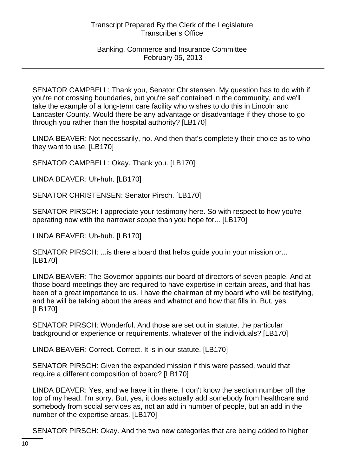SENATOR CAMPBELL: Thank you, Senator Christensen. My question has to do with if you're not crossing boundaries, but you're self contained in the community, and we'll take the example of a long-term care facility who wishes to do this in Lincoln and Lancaster County. Would there be any advantage or disadvantage if they chose to go through you rather than the hospital authority? [LB170]

LINDA BEAVER: Not necessarily, no. And then that's completely their choice as to who they want to use. [LB170]

SENATOR CAMPBELL: Okay. Thank you. [LB170]

LINDA BEAVER: Uh-huh. [LB170]

SENATOR CHRISTENSEN: Senator Pirsch. [LB170]

SENATOR PIRSCH: I appreciate your testimony here. So with respect to how you're operating now with the narrower scope than you hope for... [LB170]

LINDA BEAVER: Uh-huh. [LB170]

SENATOR PIRSCH: ...is there a board that helps guide you in your mission or... [LB170]

LINDA BEAVER: The Governor appoints our board of directors of seven people. And at those board meetings they are required to have expertise in certain areas, and that has been of a great importance to us. I have the chairman of my board who will be testifying, and he will be talking about the areas and whatnot and how that fills in. But, yes. [LB170]

SENATOR PIRSCH: Wonderful. And those are set out in statute, the particular background or experience or requirements, whatever of the individuals? [LB170]

LINDA BEAVER: Correct. Correct. It is in our statute. [LB170]

SENATOR PIRSCH: Given the expanded mission if this were passed, would that require a different composition of board? [LB170]

LINDA BEAVER: Yes, and we have it in there. I don't know the section number off the top of my head. I'm sorry. But, yes, it does actually add somebody from healthcare and somebody from social services as, not an add in number of people, but an add in the number of the expertise areas. [LB170]

SENATOR PIRSCH: Okay. And the two new categories that are being added to higher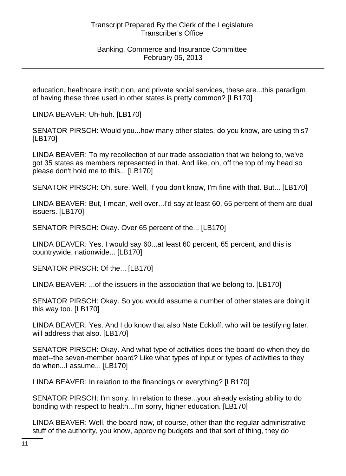education, healthcare institution, and private social services, these are...this paradigm of having these three used in other states is pretty common? [LB170]

LINDA BEAVER: Uh-huh. [LB170]

SENATOR PIRSCH: Would you...how many other states, do you know, are using this? [LB170]

LINDA BEAVER: To my recollection of our trade association that we belong to, we've got 35 states as members represented in that. And like, oh, off the top of my head so please don't hold me to this... [LB170]

SENATOR PIRSCH: Oh, sure. Well, if you don't know, I'm fine with that. But... [LB170]

LINDA BEAVER: But, I mean, well over...I'd say at least 60, 65 percent of them are dual issuers. [LB170]

SENATOR PIRSCH: Okay. Over 65 percent of the... [LB170]

LINDA BEAVER: Yes. I would say 60...at least 60 percent, 65 percent, and this is countrywide, nationwide... [LB170]

SENATOR PIRSCH: Of the... [LB170]

LINDA BEAVER: ...of the issuers in the association that we belong to. [LB170]

SENATOR PIRSCH: Okay. So you would assume a number of other states are doing it this way too. [LB170]

LINDA BEAVER: Yes. And I do know that also Nate Eckloff, who will be testifying later, will address that also. [LB170]

SENATOR PIRSCH: Okay. And what type of activities does the board do when they do meet--the seven-member board? Like what types of input or types of activities to they do when...I assume... [LB170]

LINDA BEAVER: In relation to the financings or everything? [LB170]

SENATOR PIRSCH: I'm sorry. In relation to these...your already existing ability to do bonding with respect to health...I'm sorry, higher education. [LB170]

LINDA BEAVER: Well, the board now, of course, other than the regular administrative stuff of the authority, you know, approving budgets and that sort of thing, they do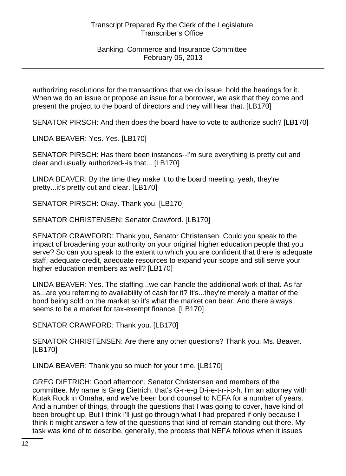authorizing resolutions for the transactions that we do issue, hold the hearings for it. When we do an issue or propose an issue for a borrower, we ask that they come and present the project to the board of directors and they will hear that. [LB170]

SENATOR PIRSCH: And then does the board have to vote to authorize such? [LB170]

LINDA BEAVER: Yes. Yes. [LB170]

SENATOR PIRSCH: Has there been instances--I'm sure everything is pretty cut and clear and usually authorized--is that... [LB170]

LINDA BEAVER: By the time they make it to the board meeting, yeah, they're pretty...it's pretty cut and clear. [LB170]

SENATOR PIRSCH: Okay. Thank you. [LB170]

SENATOR CHRISTENSEN: Senator Crawford. [LB170]

SENATOR CRAWFORD: Thank you, Senator Christensen. Could you speak to the impact of broadening your authority on your original higher education people that you serve? So can you speak to the extent to which you are confident that there is adequate staff, adequate credit, adequate resources to expand your scope and still serve your higher education members as well? [LB170]

LINDA BEAVER: Yes. The staffing...we can handle the additional work of that. As far as...are you referring to availability of cash for it? It's...they're merely a matter of the bond being sold on the market so it's what the market can bear. And there always seems to be a market for tax-exempt finance. [LB170]

SENATOR CRAWFORD: Thank you. [LB170]

SENATOR CHRISTENSEN: Are there any other questions? Thank you, Ms. Beaver. [LB170]

LINDA BEAVER: Thank you so much for your time. [LB170]

GREG DIETRICH: Good afternoon, Senator Christensen and members of the committee. My name is Greg Dietrich, that's G-r-e-g D-i-e-t-r-i-c-h. I'm an attorney with Kutak Rock in Omaha, and we've been bond counsel to NEFA for a number of years. And a number of things, through the questions that I was going to cover, have kind of been brought up. But I think I'll just go through what I had prepared if only because I think it might answer a few of the questions that kind of remain standing out there. My task was kind of to describe, generally, the process that NEFA follows when it issues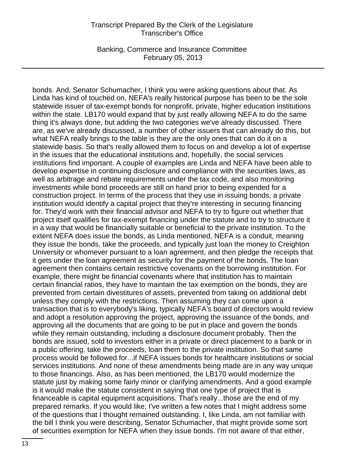Banking, Commerce and Insurance Committee February 05, 2013

bonds. And, Senator Schumacher, I think you were asking questions about that. As Linda has kind of touched on, NEFA's really historical purpose has been to be the sole statewide issuer of tax-exempt bonds for nonprofit, private, higher education institutions within the state. LB170 would expand that by just really allowing NEFA to do the same thing it's always done, but adding the two categories we've already discussed. There are, as we've already discussed, a number of other issuers that can already do this, but what NEFA really brings to the table is they are the only ones that can do it on a statewide basis. So that's really allowed them to focus on and develop a lot of expertise in the issues that the educational institutions and, hopefully, the social services institutions find important. A couple of examples are Linda and NEFA have been able to develop expertise in continuing disclosure and compliance with the securities laws, as well as arbitrage and rebate requirements under the tax code, and also monitoring investments while bond proceeds are still on hand prior to being expended for a construction project. In terms of the process that they use in issuing bonds, a private institution would identify a capital project that they're interesting in securing financing for. They'd work with their financial advisor and NEFA to try to figure out whether that project itself qualifies for tax-exempt financing under the statute and to try to structure it in a way that would be financially suitable or beneficial to the private institution. To the extent NEFA does issue the bonds, as Linda mentioned, NEFA is a conduit, meaning they issue the bonds, take the proceeds, and typically just loan the money to Creighton University or whomever pursuant to a loan agreement, and then pledge the receipts that it gets under the loan agreement as security for the payment of the bonds. The loan agreement then contains certain restrictive covenants on the borrowing institution. For example, there might be financial covenants where that institution has to maintain certain financial ratios, they have to maintain the tax exemption on the bonds, they are prevented from certain divestitures of assets, prevented from taking on additional debt unless they comply with the restrictions. Then assuming they can come upon a transaction that is to everybody's liking, typically NEFA's board of directors would review and adopt a resolution approving the project, approving the issuance of the bonds, and approving all the documents that are going to be put in place and govern the bonds while they remain outstanding, including a disclosure document probably. Then the bonds are issued, sold to investors either in a private or direct placement to a bank or in a public offering, take the proceeds, loan them to the private institution. So that same process would be followed for...if NEFA issues bonds for healthcare institutions or social services institutions. And none of these amendments being made are in any way unique to those financings. Also, as has been mentioned, the LB170 would modernize the statute just by making some fairly minor or clarifying amendments. And a good example is it would make the statute consistent in saying that one type of project that is financeable is capital equipment acquisitions. That's really...those are the end of my prepared remarks. If you would like, I've written a few notes that I might address some of the questions that I thought remained outstanding. I, like Linda, am not familiar with the bill I think you were describing, Senator Schumacher, that might provide some sort of securities exemption for NEFA when they issue bonds. I'm not aware of that either,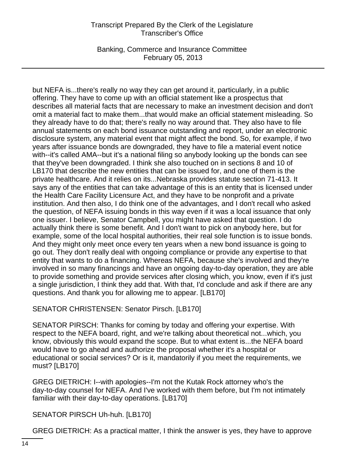Banking, Commerce and Insurance Committee February 05, 2013

but NEFA is...there's really no way they can get around it, particularly, in a public offering. They have to come up with an official statement like a prospectus that describes all material facts that are necessary to make an investment decision and don't omit a material fact to make them...that would make an official statement misleading. So they already have to do that; there's really no way around that. They also have to file annual statements on each bond issuance outstanding and report, under an electronic disclosure system, any material event that might affect the bond. So, for example, if two years after issuance bonds are downgraded, they have to file a material event notice with--it's called AMA--but it's a national filing so anybody looking up the bonds can see that they've been downgraded. I think she also touched on in sections 8 and 10 of LB170 that describe the new entities that can be issued for, and one of them is the private healthcare. And it relies on its...Nebraska provides statute section 71-413. It says any of the entities that can take advantage of this is an entity that is licensed under the Health Care Facility Licensure Act, and they have to be nonprofit and a private institution. And then also, I do think one of the advantages, and I don't recall who asked the question, of NEFA issuing bonds in this way even if it was a local issuance that only one issuer. I believe, Senator Campbell, you might have asked that question. I do actually think there is some benefit. And I don't want to pick on anybody here, but for example, some of the local hospital authorities, their real sole function is to issue bonds. And they might only meet once every ten years when a new bond issuance is going to go out. They don't really deal with ongoing compliance or provide any expertise to that entity that wants to do a financing. Whereas NEFA, because she's involved and they're involved in so many financings and have an ongoing day-to-day operation, they are able to provide something and provide services after closing which, you know, even if it's just a single jurisdiction, I think they add that. With that, I'd conclude and ask if there are any questions. And thank you for allowing me to appear. [LB170]

SENATOR CHRISTENSEN: Senator Pirsch. [LB170]

SENATOR PIRSCH: Thanks for coming by today and offering your expertise. With respect to the NEFA board, right, and we're talking about theoretical not...which, you know, obviously this would expand the scope. But to what extent is...the NEFA board would have to go ahead and authorize the proposal whether it's a hospital or educational or social services? Or is it, mandatorily if you meet the requirements, we must? [LB170]

GREG DIETRICH: I--with apologies--I'm not the Kutak Rock attorney who's the day-to-day counsel for NEFA. And I've worked with them before, but I'm not intimately familiar with their day-to-day operations. [LB170]

SENATOR PIRSCH Uh-huh. [LB170]

GREG DIETRICH: As a practical matter, I think the answer is yes, they have to approve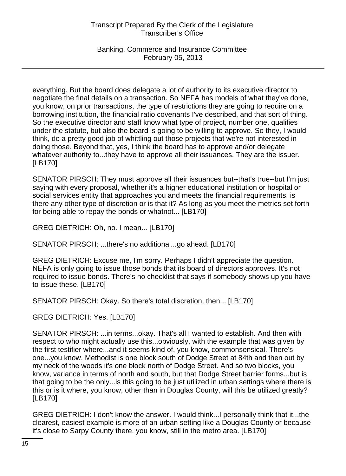Banking, Commerce and Insurance Committee February 05, 2013

everything. But the board does delegate a lot of authority to its executive director to negotiate the final details on a transaction. So NEFA has models of what they've done, you know, on prior transactions, the type of restrictions they are going to require on a borrowing institution, the financial ratio covenants I've described, and that sort of thing. So the executive director and staff know what type of project, number one, qualifies under the statute, but also the board is going to be willing to approve. So they, I would think, do a pretty good job of whittling out those projects that we're not interested in doing those. Beyond that, yes, I think the board has to approve and/or delegate whatever authority to...they have to approve all their issuances. They are the issuer. [LB170]

SENATOR PIRSCH: They must approve all their issuances but--that's true--but I'm just saying with every proposal, whether it's a higher educational institution or hospital or social services entity that approaches you and meets the financial requirements, is there any other type of discretion or is that it? As long as you meet the metrics set forth for being able to repay the bonds or whatnot... [LB170]

GREG DIETRICH: Oh, no. I mean... [LB170]

SENATOR PIRSCH: ...there's no additional...go ahead. [LB170]

GREG DIETRICH: Excuse me, I'm sorry. Perhaps I didn't appreciate the question. NEFA is only going to issue those bonds that its board of directors approves. It's not required to issue bonds. There's no checklist that says if somebody shows up you have to issue these. [LB170]

SENATOR PIRSCH: Okay. So there's total discretion, then... [LB170]

GREG DIETRICH: Yes. [LB170]

SENATOR PIRSCH: ...in terms...okay. That's all I wanted to establish. And then with respect to who might actually use this...obviously, with the example that was given by the first testifier where...and it seems kind of, you know, commonsensical. There's one...you know, Methodist is one block south of Dodge Street at 84th and then out by my neck of the woods it's one block north of Dodge Street. And so two blocks, you know, variance in terms of north and south, but that Dodge Street barrier forms...but is that going to be the only...is this going to be just utilized in urban settings where there is this or is it where, you know, other than in Douglas County, will this be utilized greatly? [LB170]

GREG DIETRICH: I don't know the answer. I would think...I personally think that it...the clearest, easiest example is more of an urban setting like a Douglas County or because it's close to Sarpy County there, you know, still in the metro area. [LB170]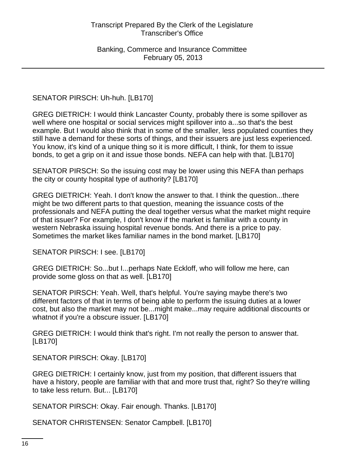SENATOR PIRSCH: Uh-huh. [LB170]

GREG DIETRICH: I would think Lancaster County, probably there is some spillover as well where one hospital or social services might spillover into a...so that's the best example. But I would also think that in some of the smaller, less populated counties they still have a demand for these sorts of things, and their issuers are just less experienced. You know, it's kind of a unique thing so it is more difficult, I think, for them to issue bonds, to get a grip on it and issue those bonds. NEFA can help with that. [LB170]

SENATOR PIRSCH: So the issuing cost may be lower using this NEFA than perhaps the city or county hospital type of authority? [LB170]

GREG DIETRICH: Yeah. I don't know the answer to that. I think the question...there might be two different parts to that question, meaning the issuance costs of the professionals and NEFA putting the deal together versus what the market might require of that issuer? For example, I don't know if the market is familiar with a county in western Nebraska issuing hospital revenue bonds. And there is a price to pay. Sometimes the market likes familiar names in the bond market. [LB170]

SENATOR PIRSCH: I see. [LB170]

GREG DIETRICH: So...but I...perhaps Nate Eckloff, who will follow me here, can provide some gloss on that as well. [LB170]

SENATOR PIRSCH: Yeah. Well, that's helpful. You're saying maybe there's two different factors of that in terms of being able to perform the issuing duties at a lower cost, but also the market may not be...might make...may require additional discounts or whatnot if you're a obscure issuer. [LB170]

GREG DIETRICH: I would think that's right. I'm not really the person to answer that. [LB170]

SENATOR PIRSCH: Okay. [LB170]

GREG DIETRICH: I certainly know, just from my position, that different issuers that have a history, people are familiar with that and more trust that, right? So they're willing to take less return. But... [LB170]

SENATOR PIRSCH: Okay. Fair enough. Thanks. [LB170]

SENATOR CHRISTENSEN: Senator Campbell. [LB170]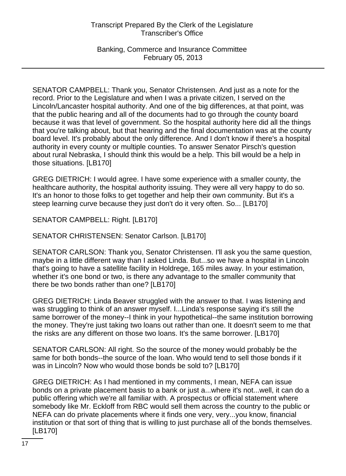Banking, Commerce and Insurance Committee February 05, 2013

SENATOR CAMPBELL: Thank you, Senator Christensen. And just as a note for the record. Prior to the Legislature and when I was a private citizen, I served on the Lincoln/Lancaster hospital authority. And one of the big differences, at that point, was that the public hearing and all of the documents had to go through the county board because it was that level of government. So the hospital authority here did all the things that you're talking about, but that hearing and the final documentation was at the county board level. It's probably about the only difference. And I don't know if there's a hospital authority in every county or multiple counties. To answer Senator Pirsch's question about rural Nebraska, I should think this would be a help. This bill would be a help in those situations. [LB170]

GREG DIETRICH: I would agree. I have some experience with a smaller county, the healthcare authority, the hospital authority issuing. They were all very happy to do so. It's an honor to those folks to get together and help their own community. But it's a steep learning curve because they just don't do it very often. So... [LB170]

SENATOR CAMPBELL: Right. [LB170]

SENATOR CHRISTENSEN: Senator Carlson. [LB170]

SENATOR CARLSON: Thank you, Senator Christensen. I'll ask you the same question, maybe in a little different way than I asked Linda. But...so we have a hospital in Lincoln that's going to have a satellite facility in Holdrege, 165 miles away. In your estimation, whether it's one bond or two, is there any advantage to the smaller community that there be two bonds rather than one? [LB170]

GREG DIETRICH: Linda Beaver struggled with the answer to that. I was listening and was struggling to think of an answer myself. I...Linda's response saying it's still the same borrower of the money--I think in your hypothetical--the same institution borrowing the money. They're just taking two loans out rather than one. It doesn't seem to me that the risks are any different on those two loans. It's the same borrower. [LB170]

SENATOR CARLSON: All right. So the source of the money would probably be the same for both bonds--the source of the loan. Who would tend to sell those bonds if it was in Lincoln? Now who would those bonds be sold to? [LB170]

GREG DIETRICH: As I had mentioned in my comments, I mean, NEFA can issue bonds on a private placement basis to a bank or just a...where it's not...well, it can do a public offering which we're all familiar with. A prospectus or official statement where somebody like Mr. Eckloff from RBC would sell them across the country to the public or NEFA can do private placements where it finds one very, very...you know, financial institution or that sort of thing that is willing to just purchase all of the bonds themselves. [LB170]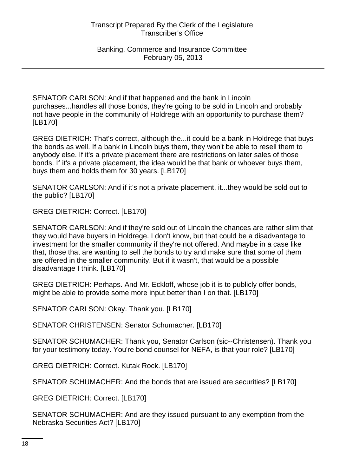SENATOR CARLSON: And if that happened and the bank in Lincoln purchases...handles all those bonds, they're going to be sold in Lincoln and probably not have people in the community of Holdrege with an opportunity to purchase them? [LB170]

GREG DIETRICH: That's correct, although the...it could be a bank in Holdrege that buys the bonds as well. If a bank in Lincoln buys them, they won't be able to resell them to anybody else. If it's a private placement there are restrictions on later sales of those bonds. If it's a private placement, the idea would be that bank or whoever buys them, buys them and holds them for 30 years. [LB170]

SENATOR CARLSON: And if it's not a private placement, it...they would be sold out to the public? [LB170]

GREG DIETRICH: Correct. [LB170]

SENATOR CARLSON: And if they're sold out of Lincoln the chances are rather slim that they would have buyers in Holdrege. I don't know, but that could be a disadvantage to investment for the smaller community if they're not offered. And maybe in a case like that, those that are wanting to sell the bonds to try and make sure that some of them are offered in the smaller community. But if it wasn't, that would be a possible disadvantage I think. [LB170]

GREG DIETRICH: Perhaps. And Mr. Eckloff, whose job it is to publicly offer bonds, might be able to provide some more input better than I on that. [LB170]

SENATOR CARLSON: Okay. Thank you. [LB170]

SENATOR CHRISTENSEN: Senator Schumacher. [LB170]

SENATOR SCHUMACHER: Thank you, Senator Carlson (sic--Christensen). Thank you for your testimony today. You're bond counsel for NEFA, is that your role? [LB170]

GREG DIETRICH: Correct. Kutak Rock. [LB170]

SENATOR SCHUMACHER: And the bonds that are issued are securities? [LB170]

GREG DIETRICH: Correct. [LB170]

SENATOR SCHUMACHER: And are they issued pursuant to any exemption from the Nebraska Securities Act? [LB170]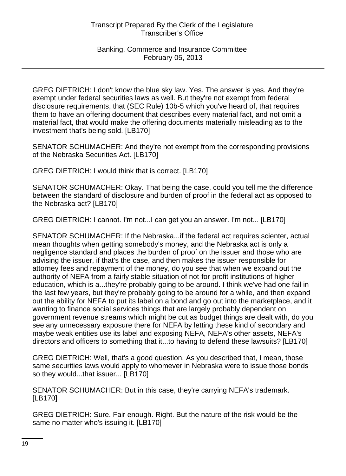GREG DIETRICH: I don't know the blue sky law. Yes. The answer is yes. And they're exempt under federal securities laws as well. But they're not exempt from federal disclosure requirements, that (SEC Rule) 10b-5 which you've heard of, that requires them to have an offering document that describes every material fact, and not omit a material fact, that would make the offering documents materially misleading as to the investment that's being sold. [LB170]

SENATOR SCHUMACHER: And they're not exempt from the corresponding provisions of the Nebraska Securities Act. [LB170]

GREG DIETRICH: I would think that is correct. [LB170]

SENATOR SCHUMACHER: Okay. That being the case, could you tell me the difference between the standard of disclosure and burden of proof in the federal act as opposed to the Nebraska act? [LB170]

GREG DIETRICH: I cannot. I'm not...I can get you an answer. I'm not... [LB170]

SENATOR SCHUMACHER: If the Nebraska...if the federal act requires scienter, actual mean thoughts when getting somebody's money, and the Nebraska act is only a negligence standard and places the burden of proof on the issuer and those who are advising the issuer, if that's the case, and then makes the issuer responsible for attorney fees and repayment of the money, do you see that when we expand out the authority of NEFA from a fairly stable situation of not-for-profit institutions of higher education, which is a...they're probably going to be around. I think we've had one fail in the last few years, but they're probably going to be around for a while, and then expand out the ability for NEFA to put its label on a bond and go out into the marketplace, and it wanting to finance social services things that are largely probably dependent on government revenue streams which might be cut as budget things are dealt with, do you see any unnecessary exposure there for NEFA by letting these kind of secondary and maybe weak entities use its label and exposing NEFA, NEFA's other assets, NEFA's directors and officers to something that it...to having to defend these lawsuits? [LB170]

GREG DIETRICH: Well, that's a good question. As you described that, I mean, those same securities laws would apply to whomever in Nebraska were to issue those bonds so they would...that issuer... [LB170]

SENATOR SCHUMACHER: But in this case, they're carrying NEFA's trademark. [LB170]

GREG DIETRICH: Sure. Fair enough. Right. But the nature of the risk would be the same no matter who's issuing it. [LB170]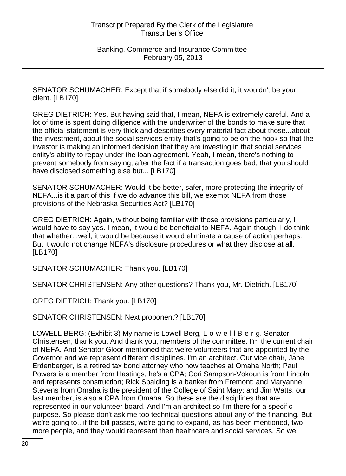SENATOR SCHUMACHER: Except that if somebody else did it, it wouldn't be your client. [LB170]

GREG DIETRICH: Yes. But having said that, I mean, NEFA is extremely careful. And a lot of time is spent doing diligence with the underwriter of the bonds to make sure that the official statement is very thick and describes every material fact about those...about the investment, about the social services entity that's going to be on the hook so that the investor is making an informed decision that they are investing in that social services entity's ability to repay under the loan agreement. Yeah, I mean, there's nothing to prevent somebody from saying, after the fact if a transaction goes bad, that you should have disclosed something else but... [LB170]

SENATOR SCHUMACHER: Would it be better, safer, more protecting the integrity of NEFA...is it a part of this if we do advance this bill, we exempt NEFA from those provisions of the Nebraska Securities Act? [LB170]

GREG DIETRICH: Again, without being familiar with those provisions particularly, I would have to say yes. I mean, it would be beneficial to NEFA. Again though, I do think that whether...well, it would be because it would eliminate a cause of action perhaps. But it would not change NEFA's disclosure procedures or what they disclose at all. [LB170]

SENATOR SCHUMACHER: Thank you. [LB170]

SENATOR CHRISTENSEN: Any other questions? Thank you, Mr. Dietrich. [LB170]

GREG DIETRICH: Thank you. [LB170]

SENATOR CHRISTENSEN: Next proponent? [LB170]

LOWELL BERG: (Exhibit 3) My name is Lowell Berg, L-o-w-e-l-l B-e-r-g. Senator Christensen, thank you. And thank you, members of the committee. I'm the current chair of NEFA. And Senator Gloor mentioned that we're volunteers that are appointed by the Governor and we represent different disciplines. I'm an architect. Our vice chair, Jane Erdenberger, is a retired tax bond attorney who now teaches at Omaha North; Paul Powers is a member from Hastings, he's a CPA; Cori Sampson-Vokoun is from Lincoln and represents construction; Rick Spalding is a banker from Fremont; and Maryanne Stevens from Omaha is the president of the College of Saint Mary; and Jim Watts, our last member, is also a CPA from Omaha. So these are the disciplines that are represented in our volunteer board. And I'm an architect so I'm there for a specific purpose. So please don't ask me too technical questions about any of the financing. But we're going to...if the bill passes, we're going to expand, as has been mentioned, two more people, and they would represent then healthcare and social services. So we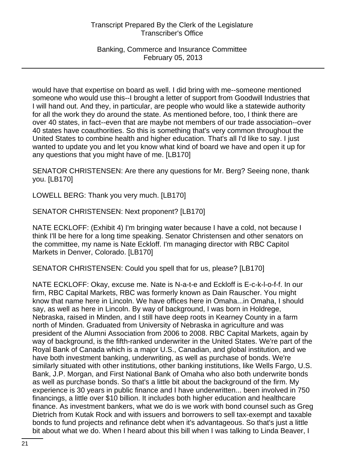Banking, Commerce and Insurance Committee February 05, 2013

would have that expertise on board as well. I did bring with me--someone mentioned someone who would use this--I brought a letter of support from Goodwill Industries that I will hand out. And they, in particular, are people who would like a statewide authority for all the work they do around the state. As mentioned before, too, I think there are over 40 states, in fact--even that are maybe not members of our trade association--over 40 states have coauthorities. So this is something that's very common throughout the United States to combine health and higher education. That's all I'd like to say. I just wanted to update you and let you know what kind of board we have and open it up for any questions that you might have of me. [LB170]

SENATOR CHRISTENSEN: Are there any questions for Mr. Berg? Seeing none, thank you. [LB170]

LOWELL BERG: Thank you very much. [LB170]

SENATOR CHRISTENSEN: Next proponent? [LB170]

NATE ECKLOFF: (Exhibit 4) I'm bringing water because I have a cold, not because I think I'll be here for a long time speaking. Senator Christensen and other senators on the committee, my name is Nate Eckloff. I'm managing director with RBC Capitol Markets in Denver, Colorado. [LB170]

SENATOR CHRISTENSEN: Could you spell that for us, please? [LB170]

NATE ECKLOFF: Okay, excuse me. Nate is N-a-t-e and Eckloff is E-c-k-l-o-f-f. In our firm, RBC Capital Markets, RBC was formerly known as Dain Rauscher. You might know that name here in Lincoln. We have offices here in Omaha...in Omaha, I should say, as well as here in Lincoln. By way of background, I was born in Holdrege, Nebraska, raised in Minden, and I still have deep roots in Kearney County in a farm north of Minden. Graduated from University of Nebraska in agriculture and was president of the Alumni Association from 2006 to 2008. RBC Capital Markets, again by way of background, is the fifth-ranked underwriter in the United States. We're part of the Royal Bank of Canada which is a major U.S., Canadian, and global institution, and we have both investment banking, underwriting, as well as purchase of bonds. We're similarly situated with other institutions, other banking institutions, like Wells Fargo, U.S. Bank, J.P. Morgan, and First National Bank of Omaha who also both underwrite bonds as well as purchase bonds. So that's a little bit about the background of the firm. My experience is 30 years in public finance and I have underwritten... been involved in 750 financings, a little over \$10 billion. It includes both higher education and healthcare finance. As investment bankers, what we do is we work with bond counsel such as Greg Dietrich from Kutak Rock and with issuers and borrowers to sell tax-exempt and taxable bonds to fund projects and refinance debt when it's advantageous. So that's just a little bit about what we do. When I heard about this bill when I was talking to Linda Beaver, I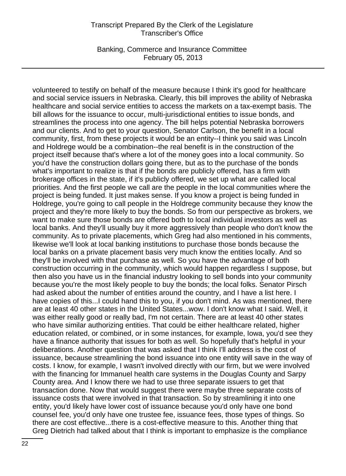Banking, Commerce and Insurance Committee February 05, 2013

volunteered to testify on behalf of the measure because I think it's good for healthcare and social service issuers in Nebraska. Clearly, this bill improves the ability of Nebraska healthcare and social service entities to access the markets on a tax-exempt basis. The bill allows for the issuance to occur, multi-jurisdictional entities to issue bonds, and streamlines the process into one agency. The bill helps potential Nebraska borrowers and our clients. And to get to your question, Senator Carlson, the benefit in a local community, first, from these projects it would be an entity--I think you said was Lincoln and Holdrege would be a combination--the real benefit is in the construction of the project itself because that's where a lot of the money goes into a local community. So you'd have the construction dollars going there, but as to the purchase of the bonds what's important to realize is that if the bonds are publicly offered, has a firm with brokerage offices in the state, if it's publicly offered, we set up what are called local priorities. And the first people we call are the people in the local communities where the project is being funded. It just makes sense. If you know a project is being funded in Holdrege, you're going to call people in the Holdrege community because they know the project and they're more likely to buy the bonds. So from our perspective as brokers, we want to make sure those bonds are offered both to local individual investors as well as local banks. And they'll usually buy it more aggressively than people who don't know the community. As to private placements, which Greg had also mentioned in his comments, likewise we'll look at local banking institutions to purchase those bonds because the local banks on a private placement basis very much know the entities locally. And so they'll be involved with that purchase as well. So you have the advantage of both construction occurring in the community, which would happen regardless I suppose, but then also you have us in the financial industry looking to sell bonds into your community because you're the most likely people to buy the bonds; the local folks. Senator Pirsch had asked about the number of entities around the country, and I have a list here. I have copies of this...I could hand this to you, if you don't mind. As was mentioned, there are at least 40 other states in the United States...wow. I don't know what I said. Well, it was either really good or really bad, I'm not certain. There are at least 40 other states who have similar authorizing entities. That could be either healthcare related, higher education related, or combined, or in some instances, for example, Iowa, you'd see they have a finance authority that issues for both as well. So hopefully that's helpful in your deliberations. Another question that was asked that I think I'll address is the cost of issuance, because streamlining the bond issuance into one entity will save in the way of costs. I know, for example, I wasn't involved directly with our firm, but we were involved with the financing for Immanuel health care systems in the Douglas County and Sarpy County area. And I know there we had to use three separate issuers to get that transaction done. Now that would suggest there were maybe three separate costs of issuance costs that were involved in that transaction. So by streamlining it into one entity, you'd likely have lower cost of issuance because you'd only have one bond counsel fee, you'd only have one trustee fee, issuance fees, those types of things. So there are cost effective...there is a cost-effective measure to this. Another thing that Greg Dietrich had talked about that I think is important to emphasize is the compliance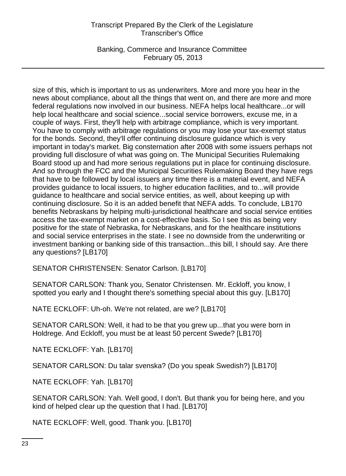Banking, Commerce and Insurance Committee February 05, 2013

size of this, which is important to us as underwriters. More and more you hear in the news about compliance, about all the things that went on, and there are more and more federal regulations now involved in our business. NEFA helps local healthcare...or will help local healthcare and social science...social service borrowers, excuse me, in a couple of ways. First, they'll help with arbitrage compliance, which is very important. You have to comply with arbitrage regulations or you may lose your tax-exempt status for the bonds. Second, they'll offer continuing disclosure guidance which is very important in today's market. Big consternation after 2008 with some issuers perhaps not providing full disclosure of what was going on. The Municipal Securities Rulemaking Board stood up and had more serious regulations put in place for continuing disclosure. And so through the FCC and the Municipal Securities Rulemaking Board they have regs that have to be followed by local issuers any time there is a material event, and NEFA provides guidance to local issuers, to higher education facilities, and to...will provide guidance to healthcare and social service entities, as well, about keeping up with continuing disclosure. So it is an added benefit that NEFA adds. To conclude, LB170 benefits Nebraskans by helping multi-jurisdictional healthcare and social service entities access the tax-exempt market on a cost-effective basis. So I see this as being very positive for the state of Nebraska, for Nebraskans, and for the healthcare institutions and social service enterprises in the state. I see no downside from the underwriting or investment banking or banking side of this transaction...this bill, I should say. Are there any questions? [LB170]

SENATOR CHRISTENSEN: Senator Carlson. [LB170]

SENATOR CARLSON: Thank you, Senator Christensen. Mr. Eckloff, you know, I spotted you early and I thought there's something special about this guy. [LB170]

NATE ECKLOFF: Uh-oh. We're not related, are we? [LB170]

SENATOR CARLSON: Well, it had to be that you grew up...that you were born in Holdrege. And Eckloff, you must be at least 50 percent Swede? [LB170]

NATE ECKLOFF: Yah. [LB170]

SENATOR CARLSON: Du talar svenska? (Do you speak Swedish?) [LB170]

NATE ECKLOFF: Yah. [LB170]

SENATOR CARLSON: Yah. Well good, I don't. But thank you for being here, and you kind of helped clear up the question that I had. [LB170]

NATE ECKLOFF: Well, good. Thank you. [LB170]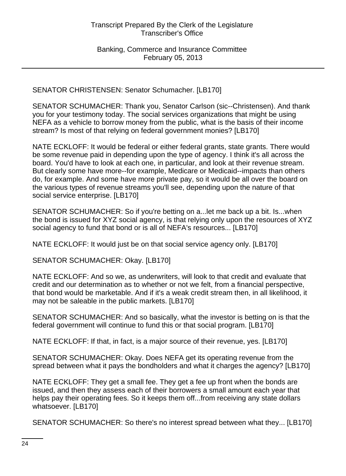SENATOR CHRISTENSEN: Senator Schumacher. [LB170]

SENATOR SCHUMACHER: Thank you, Senator Carlson (sic--Christensen). And thank you for your testimony today. The social services organizations that might be using NEFA as a vehicle to borrow money from the public, what is the basis of their income stream? Is most of that relying on federal government monies? [LB170]

NATE ECKLOFF: It would be federal or either federal grants, state grants. There would be some revenue paid in depending upon the type of agency. I think it's all across the board. You'd have to look at each one, in particular, and look at their revenue stream. But clearly some have more--for example, Medicare or Medicaid--impacts than others do, for example. And some have more private pay, so it would be all over the board on the various types of revenue streams you'll see, depending upon the nature of that social service enterprise. [LB170]

SENATOR SCHUMACHER: So if you're betting on a...let me back up a bit. Is...when the bond is issued for XYZ social agency, is that relying only upon the resources of XYZ social agency to fund that bond or is all of NEFA's resources... [LB170]

NATE ECKLOFF: It would just be on that social service agency only. [LB170]

SENATOR SCHUMACHER: Okay. [LB170]

NATE ECKLOFF: And so we, as underwriters, will look to that credit and evaluate that credit and our determination as to whether or not we felt, from a financial perspective, that bond would be marketable. And if it's a weak credit stream then, in all likelihood, it may not be saleable in the public markets. [LB170]

SENATOR SCHUMACHER: And so basically, what the investor is betting on is that the federal government will continue to fund this or that social program. [LB170]

NATE ECKLOFF: If that, in fact, is a major source of their revenue, yes. [LB170]

SENATOR SCHUMACHER: Okay. Does NEFA get its operating revenue from the spread between what it pays the bondholders and what it charges the agency? [LB170]

NATE ECKLOFF: They get a small fee. They get a fee up front when the bonds are issued, and then they assess each of their borrowers a small amount each year that helps pay their operating fees. So it keeps them off...from receiving any state dollars whatsoever. [LB170]

SENATOR SCHUMACHER: So there's no interest spread between what they... [LB170]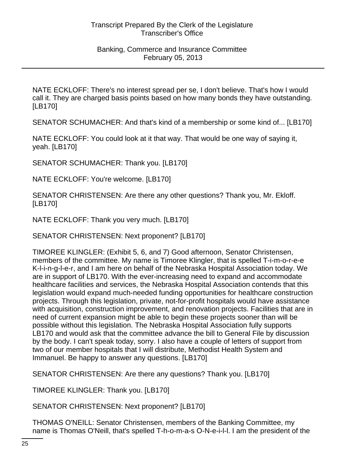NATE ECKLOFF: There's no interest spread per se, I don't believe. That's how I would call it. They are charged basis points based on how many bonds they have outstanding. [LB170]

SENATOR SCHUMACHER: And that's kind of a membership or some kind of... [LB170]

NATE ECKLOFF: You could look at it that way. That would be one way of saying it, yeah. [LB170]

SENATOR SCHUMACHER: Thank you. [LB170]

NATE ECKLOFF: You're welcome. [LB170]

SENATOR CHRISTENSEN: Are there any other questions? Thank you, Mr. Ekloff. [LB170]

NATE ECKLOFF: Thank you very much. [LB170]

SENATOR CHRISTENSEN: Next proponent? [LB170]

TIMOREE KLINGLER: (Exhibit 5, 6, and 7) Good afternoon, Senator Christensen, members of the committee. My name is Timoree Klingler, that is spelled T-i-m-o-r-e-e K-l-i-n-g-l-e-r, and I am here on behalf of the Nebraska Hospital Association today. We are in support of LB170. With the ever-increasing need to expand and accommodate healthcare facilities and services, the Nebraska Hospital Association contends that this legislation would expand much-needed funding opportunities for healthcare construction projects. Through this legislation, private, not-for-profit hospitals would have assistance with acquisition, construction improvement, and renovation projects. Facilities that are in need of current expansion might be able to begin these projects sooner than will be possible without this legislation. The Nebraska Hospital Association fully supports LB170 and would ask that the committee advance the bill to General File by discussion by the body. I can't speak today, sorry. I also have a couple of letters of support from two of our member hospitals that I will distribute, Methodist Health System and Immanuel. Be happy to answer any questions. [LB170]

SENATOR CHRISTENSEN: Are there any questions? Thank you. [LB170]

TIMOREE KLINGLER: Thank you. [LB170]

SENATOR CHRISTENSEN: Next proponent? [LB170]

THOMAS O'NEILL: Senator Christensen, members of the Banking Committee, my name is Thomas O'Neill, that's spelled T-h-o-m-a-s O-N-e-i-l-l. I am the president of the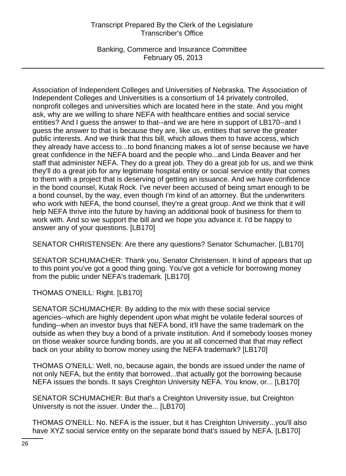Banking, Commerce and Insurance Committee February 05, 2013

Association of Independent Colleges and Universities of Nebraska. The Association of Independent Colleges and Universities is a consortium of 14 privately controlled, nonprofit colleges and universities which are located here in the state. And you might ask, why are we willing to share NEFA with healthcare entities and social service entities? And I guess the answer to that--and we are here in support of LB170--and I guess the answer to that is because they are, like us, entities that serve the greater public interests. And we think that this bill, which allows them to have access, which they already have access to...to bond financing makes a lot of sense because we have great confidence in the NEFA board and the people who...and Linda Beaver and her staff that administer NEFA. They do a great job. They do a great job for us, and we think they'll do a great job for any legitimate hospital entity or social service entity that comes to them with a project that is deserving of getting an issuance. And we have confidence in the bond counsel, Kutak Rock. I've never been accused of being smart enough to be a bond counsel, by the way, even though I'm kind of an attorney. But the underwriters who work with NEFA, the bond counsel, they're a great group. And we think that it will help NEFA thrive into the future by having an additional book of business for them to work with. And so we support the bill and we hope you advance it. I'd be happy to answer any of your questions. [LB170]

SENATOR CHRISTENSEN: Are there any questions? Senator Schumacher. [LB170]

SENATOR SCHUMACHER: Thank you, Senator Christensen. It kind of appears that up to this point you've got a good thing going. You've got a vehicle for borrowing money from the public under NEFA's trademark. [LB170]

THOMAS O'NEILL: Right. [LB170]

SENATOR SCHUMACHER: By adding to the mix with these social service agencies--which are highly dependent upon what might be volatile federal sources of funding--when an investor buys that NEFA bond, it'll have the same trademark on the outside as when they buy a bond of a private institution. And if somebody looses money on those weaker source funding bonds, are you at all concerned that that may reflect back on your ability to borrow money using the NEFA trademark? [LB170]

THOMAS O'NEILL: Well, no, because again, the bonds are issued under the name of not only NEFA, but the entity that borrowed...that actually got the borrowing because NEFA issues the bonds. It says Creighton University NEFA. You know, or... [LB170]

SENATOR SCHUMACHER: But that's a Creighton University issue, but Creighton University is not the issuer. Under the... [LB170]

THOMAS O'NEILL: No. NEFA is the issuer, but it has Creighton University...you'll also have XYZ social service entity on the separate bond that's issued by NEFA. [LB170]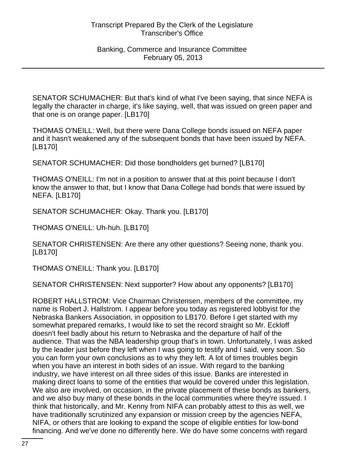SENATOR SCHUMACHER: But that's kind of what I've been saying, that since NEFA is legally the character in charge, it's like saying, well, that was issued on green paper and that one is on orange paper. [LB170]

THOMAS O'NEILL: Well, but there were Dana College bonds issued on NEFA paper and it hasn't weakened any of the subsequent bonds that have been issued by NEFA. [LB170]

SENATOR SCHUMACHER: Did those bondholders get burned? [LB170]

THOMAS O'NEILL: I'm not in a position to answer that at this point because I don't know the answer to that, but I know that Dana College had bonds that were issued by NEFA. [LB170]

SENATOR SCHUMACHER: Okay. Thank you. [LB170]

THOMAS O'NEILL: Uh-huh. [LB170]

SENATOR CHRISTENSEN: Are there any other questions? Seeing none, thank you. [LB170]

THOMAS O'NEILL: Thank you. [LB170]

SENATOR CHRISTENSEN: Next supporter? How about any opponents? [LB170]

ROBERT HALLSTROM: Vice Chairman Christensen, members of the committee, my name is Robert J. Hallstrom. I appear before you today as registered lobbyist for the Nebraska Bankers Association, in opposition to LB170. Before I get started with my somewhat prepared remarks, I would like to set the record straight so Mr. Eckloff doesn't feel badly about his return to Nebraska and the departure of half of the audience. That was the NBA leadership group that's in town. Unfortunately, I was asked by the leader just before they left when I was going to testify and I said, very soon. So you can form your own conclusions as to why they left. A lot of times troubles begin when you have an interest in both sides of an issue. With regard to the banking industry, we have interest on all three sides of this issue. Banks are interested in making direct loans to some of the entities that would be covered under this legislation. We also are involved, on occasion, in the private placement of these bonds as bankers, and we also buy many of these bonds in the local communities where they're issued. I think that historically, and Mr. Kenny from NIFA can probably attest to this as well, we have traditionally scrutinized any expansion or mission creep by the agencies NEFA, NIFA, or others that are looking to expand the scope of eligible entities for low-bond financing. And we've done no differently here. We do have some concerns with regard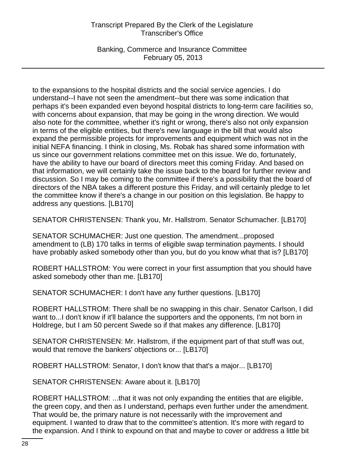Banking, Commerce and Insurance Committee February 05, 2013

to the expansions to the hospital districts and the social service agencies. I do understand--I have not seen the amendment--but there was some indication that perhaps it's been expanded even beyond hospital districts to long-term care facilities so, with concerns about expansion, that may be going in the wrong direction. We would also note for the committee, whether it's right or wrong, there's also not only expansion in terms of the eligible entities, but there's new language in the bill that would also expand the permissible projects for improvements and equipment which was not in the initial NEFA financing. I think in closing, Ms. Robak has shared some information with us since our government relations committee met on this issue. We do, fortunately, have the ability to have our board of directors meet this coming Friday. And based on that information, we will certainly take the issue back to the board for further review and discussion. So I may be coming to the committee if there's a possibility that the board of directors of the NBA takes a different posture this Friday, and will certainly pledge to let the committee know if there's a change in our position on this legislation. Be happy to address any questions. [LB170]

SENATOR CHRISTENSEN: Thank you, Mr. Hallstrom. Senator Schumacher. [LB170]

SENATOR SCHUMACHER: Just one question. The amendment...proposed amendment to (LB) 170 talks in terms of eligible swap termination payments. I should have probably asked somebody other than you, but do you know what that is? [LB170]

ROBERT HALLSTROM: You were correct in your first assumption that you should have asked somebody other than me. [LB170]

SENATOR SCHUMACHER: I don't have any further questions. [LB170]

ROBERT HALLSTROM: There shall be no swapping in this chair. Senator Carlson, I did want to...I don't know if it'll balance the supporters and the opponents, I'm not born in Holdrege, but I am 50 percent Swede so if that makes any difference. [LB170]

SENATOR CHRISTENSEN: Mr. Hallstrom, if the equipment part of that stuff was out, would that remove the bankers' objections or... [LB170]

ROBERT HALLSTROM: Senator, I don't know that that's a major... [LB170]

SENATOR CHRISTENSEN: Aware about it. [LB170]

ROBERT HALLSTROM: ...that it was not only expanding the entities that are eligible, the green copy, and then as I understand, perhaps even further under the amendment. That would be, the primary nature is not necessarily with the improvement and equipment. I wanted to draw that to the committee's attention. It's more with regard to the expansion. And I think to expound on that and maybe to cover or address a little bit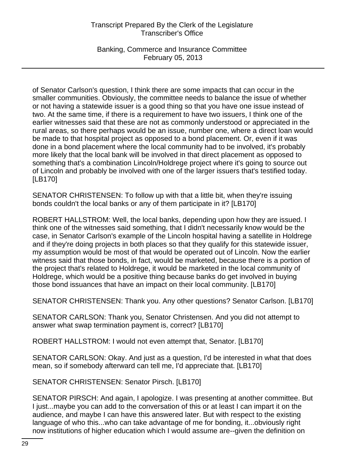Banking, Commerce and Insurance Committee February 05, 2013

of Senator Carlson's question, I think there are some impacts that can occur in the smaller communities. Obviously, the committee needs to balance the issue of whether or not having a statewide issuer is a good thing so that you have one issue instead of two. At the same time, if there is a requirement to have two issuers, I think one of the earlier witnesses said that these are not as commonly understood or appreciated in the rural areas, so there perhaps would be an issue, number one, where a direct loan would be made to that hospital project as opposed to a bond placement. Or, even if it was done in a bond placement where the local community had to be involved, it's probably more likely that the local bank will be involved in that direct placement as opposed to something that's a combination Lincoln/Holdrege project where it's going to source out of Lincoln and probably be involved with one of the larger issuers that's testified today. [LB170]

SENATOR CHRISTENSEN: To follow up with that a little bit, when they're issuing bonds couldn't the local banks or any of them participate in it? [LB170]

ROBERT HALLSTROM: Well, the local banks, depending upon how they are issued. I think one of the witnesses said something, that I didn't necessarily know would be the case, in Senator Carlson's example of the Lincoln hospital having a satellite in Holdrege and if they're doing projects in both places so that they qualify for this statewide issuer, my assumption would be most of that would be operated out of Lincoln. Now the earlier witness said that those bonds, in fact, would be marketed, because there is a portion of the project that's related to Holdrege, it would be marketed in the local community of Holdrege, which would be a positive thing because banks do get involved in buying those bond issuances that have an impact on their local community. [LB170]

SENATOR CHRISTENSEN: Thank you. Any other questions? Senator Carlson. [LB170]

SENATOR CARLSON: Thank you, Senator Christensen. And you did not attempt to answer what swap termination payment is, correct? [LB170]

ROBERT HALLSTROM: I would not even attempt that, Senator. [LB170]

SENATOR CARLSON: Okay. And just as a question, I'd be interested in what that does mean, so if somebody afterward can tell me, I'd appreciate that. [LB170]

SENATOR CHRISTENSEN: Senator Pirsch. [LB170]

SENATOR PIRSCH: And again, I apologize. I was presenting at another committee. But I just...maybe you can add to the conversation of this or at least I can impart it on the audience, and maybe I can have this answered later. But with respect to the existing language of who this...who can take advantage of me for bonding, it...obviously right now institutions of higher education which I would assume are--given the definition on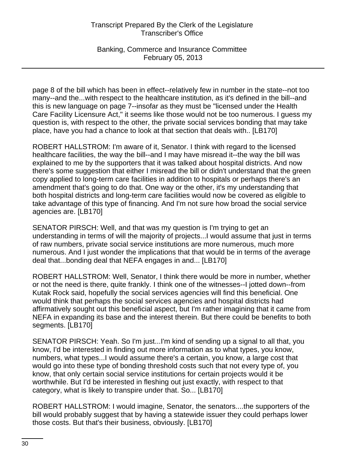Banking, Commerce and Insurance Committee February 05, 2013

page 8 of the bill which has been in effect--relatively few in number in the state--not too many--and the...with respect to the healthcare institution, as it's defined in the bill--and this is new language on page 7--insofar as they must be "licensed under the Health Care Facility Licensure Act," it seems like those would not be too numerous. I guess my question is, with respect to the other, the private social services bonding that may take place, have you had a chance to look at that section that deals with.. [LB170]

ROBERT HALLSTROM: I'm aware of it, Senator. I think with regard to the licensed healthcare facilities, the way the bill--and I may have misread it--the way the bill was explained to me by the supporters that it was talked about hospital districts. And now there's some suggestion that either I misread the bill or didn't understand that the green copy applied to long-term care facilities in addition to hospitals or perhaps there's an amendment that's going to do that. One way or the other, it's my understanding that both hospital districts and long-term care facilities would now be covered as eligible to take advantage of this type of financing. And I'm not sure how broad the social service agencies are. [LB170]

SENATOR PIRSCH: Well, and that was my question is I'm trying to get an understanding in terms of will the majority of projects...I would assume that just in terms of raw numbers, private social service institutions are more numerous, much more numerous. And I just wonder the implications that that would be in terms of the average deal that...bonding deal that NEFA engages in and... [LB170]

ROBERT HALLSTROM: Well, Senator, I think there would be more in number, whether or not the need is there, quite frankly. I think one of the witnesses--I jotted down--from Kutak Rock said, hopefully the social services agencies will find this beneficial. One would think that perhaps the social services agencies and hospital districts had affirmatively sought out this beneficial aspect, but I'm rather imagining that it came from NEFA in expanding its base and the interest therein. But there could be benefits to both segments. [LB170]

SENATOR PIRSCH: Yeah. So I'm just...I'm kind of sending up a signal to all that, you know, I'd be interested in finding out more information as to what types, you know, numbers, what types...I would assume there's a certain, you know, a large cost that would go into these type of bonding threshold costs such that not every type of, you know, that only certain social service institutions for certain projects would it be worthwhile. But I'd be interested in fleshing out just exactly, with respect to that category, what is likely to transpire under that. So... [LB170]

ROBERT HALLSTROM: I would imagine, Senator, the senators....the supporters of the bill would probably suggest that by having a statewide issuer they could perhaps lower those costs. But that's their business, obviously. [LB170]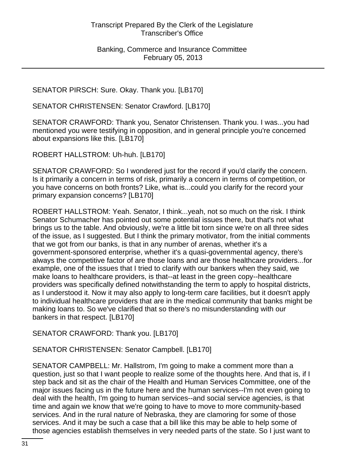SENATOR PIRSCH: Sure. Okay. Thank you. [LB170]

SENATOR CHRISTENSEN: Senator Crawford. [LB170]

SENATOR CRAWFORD: Thank you, Senator Christensen. Thank you. I was...you had mentioned you were testifying in opposition, and in general principle you're concerned about expansions like this. [LB170]

ROBERT HALLSTROM: Uh-huh. [LB170]

SENATOR CRAWFORD: So I wondered just for the record if you'd clarify the concern. Is it primarily a concern in terms of risk, primarily a concern in terms of competition, or you have concerns on both fronts? Like, what is...could you clarify for the record your primary expansion concerns? [LB170]

ROBERT HALLSTROM: Yeah. Senator, I think...yeah, not so much on the risk. I think Senator Schumacher has pointed out some potential issues there, but that's not what brings us to the table. And obviously, we're a little bit torn since we're on all three sides of the issue, as I suggested. But I think the primary motivator, from the initial comments that we got from our banks, is that in any number of arenas, whether it's a government-sponsored enterprise, whether it's a quasi-governmental agency, there's always the competitive factor of are those loans and are those healthcare providers...for example, one of the issues that I tried to clarify with our bankers when they said, we make loans to healthcare providers, is that--at least in the green copy--healthcare providers was specifically defined notwithstanding the term to apply to hospital districts, as I understood it. Now it may also apply to long-term care facilities, but it doesn't apply to individual healthcare providers that are in the medical community that banks might be making loans to. So we've clarified that so there's no misunderstanding with our bankers in that respect. [LB170]

SENATOR CRAWFORD: Thank you. [LB170]

SENATOR CHRISTENSEN: Senator Campbell. [LB170]

SENATOR CAMPBELL: Mr. Hallstrom, I'm going to make a comment more than a question, just so that I want people to realize some of the thoughts here. And that is, if I step back and sit as the chair of the Health and Human Services Committee, one of the major issues facing us in the future here and the human services--I'm not even going to deal with the health, I'm going to human services--and social service agencies, is that time and again we know that we're going to have to move to more community-based services. And in the rural nature of Nebraska, they are clamoring for some of those services. And it may be such a case that a bill like this may be able to help some of those agencies establish themselves in very needed parts of the state. So I just want to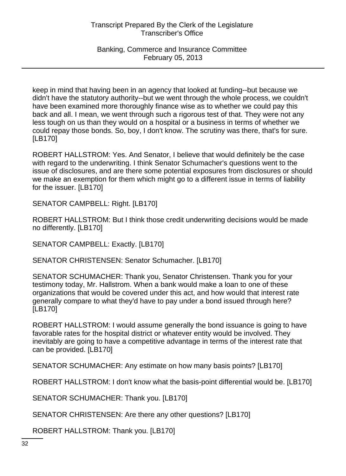Banking, Commerce and Insurance Committee February 05, 2013

keep in mind that having been in an agency that looked at funding--but because we didn't have the statutory authority--but we went through the whole process, we couldn't have been examined more thoroughly finance wise as to whether we could pay this back and all. I mean, we went through such a rigorous test of that. They were not any less tough on us than they would on a hospital or a business in terms of whether we could repay those bonds. So, boy, I don't know. The scrutiny was there, that's for sure. [LB170]

ROBERT HALLSTROM: Yes. And Senator, I believe that would definitely be the case with regard to the underwriting. I think Senator Schumacher's questions went to the issue of disclosures, and are there some potential exposures from disclosures or should we make an exemption for them which might go to a different issue in terms of liability for the issuer. [LB170]

SENATOR CAMPBELL: Right. [LB170]

ROBERT HALLSTROM: But I think those credit underwriting decisions would be made no differently. [LB170]

SENATOR CAMPBELL: Exactly. [LB170]

SENATOR CHRISTENSEN: Senator Schumacher. [LB170]

SENATOR SCHUMACHER: Thank you, Senator Christensen. Thank you for your testimony today, Mr. Hallstrom. When a bank would make a loan to one of these organizations that would be covered under this act, and how would that interest rate generally compare to what they'd have to pay under a bond issued through here? [LB170]

ROBERT HALLSTROM: I would assume generally the bond issuance is going to have favorable rates for the hospital district or whatever entity would be involved. They inevitably are going to have a competitive advantage in terms of the interest rate that can be provided. [LB170]

SENATOR SCHUMACHER: Any estimate on how many basis points? [LB170]

ROBERT HALLSTROM: I don't know what the basis-point differential would be. [LB170]

SENATOR SCHUMACHER: Thank you. [LB170]

SENATOR CHRISTENSEN: Are there any other questions? [LB170]

ROBERT HALLSTROM: Thank you. [LB170]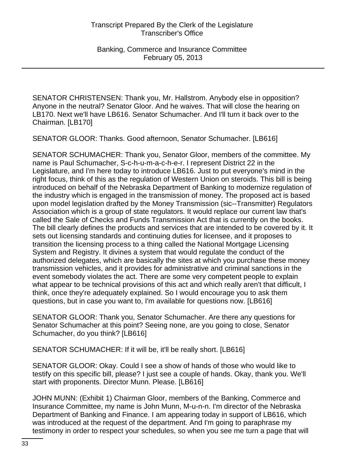SENATOR CHRISTENSEN: Thank you, Mr. Hallstrom. Anybody else in opposition? Anyone in the neutral? Senator Gloor. And he waives. That will close the hearing on LB170. Next we'll have LB616. Senator Schumacher. And I'll turn it back over to the Chairman. [LB170]

SENATOR GLOOR: Thanks. Good afternoon, Senator Schumacher. [LB616]

SENATOR SCHUMACHER: Thank you, Senator Gloor, members of the committee. My name is Paul Schumacher, S-c-h-u-m-a-c-h-e-r. I represent District 22 in the Legislature, and I'm here today to introduce LB616. Just to put everyone's mind in the right focus, think of this as the regulation of Western Union on steroids. This bill is being introduced on behalf of the Nebraska Department of Banking to modernize regulation of the industry which is engaged in the transmission of money. The proposed act is based upon model legislation drafted by the Money Transmission (sic--Transmitter) Regulators Association which is a group of state regulators. It would replace our current law that's called the Sale of Checks and Funds Transmission Act that is currently on the books. The bill clearly defines the products and services that are intended to be covered by it. It sets out licensing standards and continuing duties for licensee, and it proposes to transition the licensing process to a thing called the National Mortgage Licensing System and Registry. It divines a system that would regulate the conduct of the authorized delegates, which are basically the sites at which you purchase these money transmission vehicles, and it provides for administrative and criminal sanctions in the event somebody violates the act. There are some very competent people to explain what appear to be technical provisions of this act and which really aren't that difficult, I think, once they're adequately explained. So I would encourage you to ask them questions, but in case you want to, I'm available for questions now. [LB616]

SENATOR GLOOR: Thank you, Senator Schumacher. Are there any questions for Senator Schumacher at this point? Seeing none, are you going to close, Senator Schumacher, do you think? [LB616]

SENATOR SCHUMACHER: If it will be, it'll be really short. [LB616]

SENATOR GLOOR: Okay. Could I see a show of hands of those who would like to testify on this specific bill, please? I just see a couple of hands. Okay, thank you. We'll start with proponents. Director Munn. Please. [LB616]

JOHN MUNN: (Exhibit 1) Chairman Gloor, members of the Banking, Commerce and Insurance Committee, my name is John Munn, M-u-n-n. I'm director of the Nebraska Department of Banking and Finance. I am appearing today in support of LB616, which was introduced at the request of the department. And I'm going to paraphrase my testimony in order to respect your schedules, so when you see me turn a page that will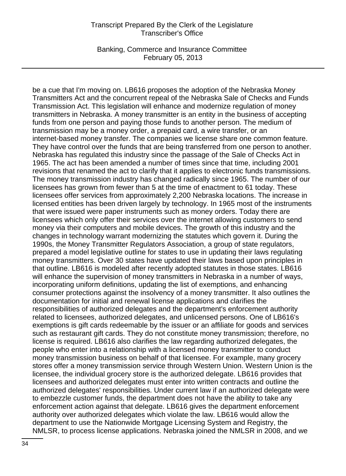Banking, Commerce and Insurance Committee February 05, 2013

be a cue that I'm moving on. LB616 proposes the adoption of the Nebraska Money Transmitters Act and the concurrent repeal of the Nebraska Sale of Checks and Funds Transmission Act. This legislation will enhance and modernize regulation of money transmitters in Nebraska. A money transmitter is an entity in the business of accepting funds from one person and paying those funds to another person. The medium of transmission may be a money order, a prepaid card, a wire transfer, or an internet-based money transfer. The companies we license share one common feature. They have control over the funds that are being transferred from one person to another. Nebraska has regulated this industry since the passage of the Sale of Checks Act in 1965. The act has been amended a number of times since that time, including 2001 revisions that renamed the act to clarify that it applies to electronic funds transmissions. The money transmission industry has changed radically since 1965. The number of our licensees has grown from fewer than 5 at the time of enactment to 61 today. These licensees offer services from approximately 2,200 Nebraska locations. The increase in licensed entities has been driven largely by technology. In 1965 most of the instruments that were issued were paper instruments such as money orders. Today there are licensees which only offer their services over the internet allowing customers to send money via their computers and mobile devices. The growth of this industry and the changes in technology warrant modernizing the statutes which govern it. During the 1990s, the Money Transmitter Regulators Association, a group of state regulators, prepared a model legislative outline for states to use in updating their laws regulating money transmitters. Over 30 states have updated their laws based upon principles in that outline. LB616 is modeled after recently adopted statutes in those states. LB616 will enhance the supervision of money transmitters in Nebraska in a number of ways, incorporating uniform definitions, updating the list of exemptions, and enhancing consumer protections against the insolvency of a money transmitter. It also outlines the documentation for initial and renewal license applications and clarifies the responsibilities of authorized delegates and the department's enforcement authority related to licensees, authorized delegates, and unlicensed persons. One of LB616's exemptions is gift cards redeemable by the issuer or an affiliate for goods and services such as restaurant gift cards. They do not constitute money transmission; therefore, no license is required. LB616 also clarifies the law regarding authorized delegates, the people who enter into a relationship with a licensed money transmitter to conduct money transmission business on behalf of that licensee. For example, many grocery stores offer a money transmission service through Western Union. Western Union is the licensee, the individual grocery store is the authorized delegate. LB616 provides that licensees and authorized delegates must enter into written contracts and outline the authorized delegates' responsibilities. Under current law if an authorized delegate were to embezzle customer funds, the department does not have the ability to take any enforcement action against that delegate. LB616 gives the department enforcement authority over authorized delegates which violate the law. LB616 would allow the department to use the Nationwide Mortgage Licensing System and Registry, the NMLSR, to process license applications. Nebraska joined the NMLSR in 2008, and we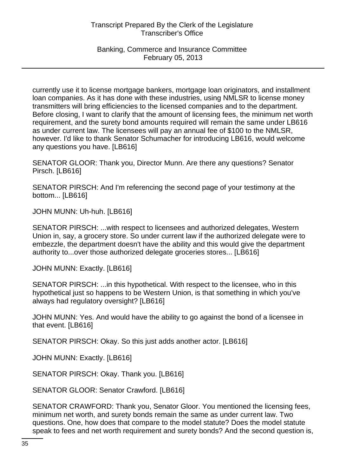Banking, Commerce and Insurance Committee February 05, 2013

currently use it to license mortgage bankers, mortgage loan originators, and installment loan companies. As it has done with these industries, using NMLSR to license money transmitters will bring efficiencies to the licensed companies and to the department. Before closing, I want to clarify that the amount of licensing fees, the minimum net worth requirement, and the surety bond amounts required will remain the same under LB616 as under current law. The licensees will pay an annual fee of \$100 to the NMLSR, however. I'd like to thank Senator Schumacher for introducing LB616, would welcome any questions you have. [LB616]

SENATOR GLOOR: Thank you, Director Munn. Are there any questions? Senator Pirsch. [LB616]

SENATOR PIRSCH: And I'm referencing the second page of your testimony at the bottom... [LB616]

JOHN MUNN: Uh-huh. [LB616]

SENATOR PIRSCH: ...with respect to licensees and authorized delegates, Western Union in, say, a grocery store. So under current law if the authorized delegate were to embezzle, the department doesn't have the ability and this would give the department authority to...over those authorized delegate groceries stores... [LB616]

JOHN MUNN: Exactly. [LB616]

SENATOR PIRSCH: ...in this hypothetical. With respect to the licensee, who in this hypothetical just so happens to be Western Union, is that something in which you've always had regulatory oversight? [LB616]

JOHN MUNN: Yes. And would have the ability to go against the bond of a licensee in that event. [LB616]

SENATOR PIRSCH: Okay. So this just adds another actor. [LB616]

JOHN MUNN: Exactly. [LB616]

SENATOR PIRSCH: Okay. Thank you. [LB616]

SENATOR GLOOR: Senator Crawford. [LB616]

SENATOR CRAWFORD: Thank you, Senator Gloor. You mentioned the licensing fees, minimum net worth, and surety bonds remain the same as under current law. Two questions. One, how does that compare to the model statute? Does the model statute speak to fees and net worth requirement and surety bonds? And the second question is,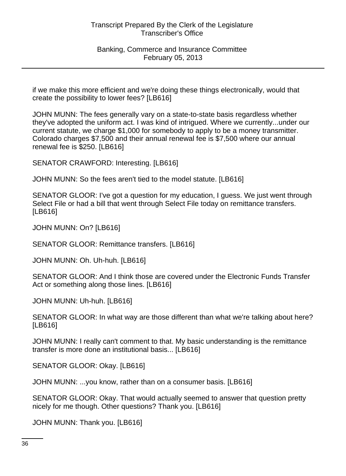Banking, Commerce and Insurance Committee February 05, 2013

if we make this more efficient and we're doing these things electronically, would that create the possibility to lower fees? [LB616]

JOHN MUNN: The fees generally vary on a state-to-state basis regardless whether they've adopted the uniform act. I was kind of intrigued. Where we currently...under our current statute, we charge \$1,000 for somebody to apply to be a money transmitter. Colorado charges \$7,500 and their annual renewal fee is \$7,500 where our annual renewal fee is \$250. [LB616]

SENATOR CRAWFORD: Interesting. [LB616]

JOHN MUNN: So the fees aren't tied to the model statute. [LB616]

SENATOR GLOOR: I've got a question for my education, I guess. We just went through Select File or had a bill that went through Select File today on remittance transfers. [LB616]

JOHN MUNN: On? [LB616]

SENATOR GLOOR: Remittance transfers. [LB616]

JOHN MUNN: Oh. Uh-huh. [LB616]

SENATOR GLOOR: And I think those are covered under the Electronic Funds Transfer Act or something along those lines. [LB616]

JOHN MUNN: Uh-huh. [LB616]

SENATOR GLOOR: In what way are those different than what we're talking about here? [LB616]

JOHN MUNN: I really can't comment to that. My basic understanding is the remittance transfer is more done an institutional basis... [LB616]

SENATOR GLOOR: Okay. [LB616]

JOHN MUNN: ...you know, rather than on a consumer basis. [LB616]

SENATOR GLOOR: Okay. That would actually seemed to answer that question pretty nicely for me though. Other questions? Thank you. [LB616]

JOHN MUNN: Thank you. [LB616]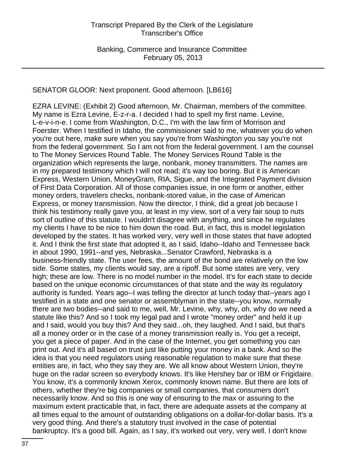# SENATOR GLOOR: Next proponent. Good afternoon. [LB616]

EZRA LEVINE: (Exhibit 2) Good afternoon, Mr. Chairman, members of the committee. My name is Ezra Levine, E-z-r-a. I decided I had to spell my first name. Levine, L-e-v-i-n-e. I come from Washington, D.C., I'm with the law firm of Morrison and Foerster. When I testified in Idaho, the commissioner said to me, whatever you do when you're out here, make sure when you say you're from Washington you say you're not from the federal government. So I am not from the federal government. I am the counsel to The Money Services Round Table. The Money Services Round Table is the organization which represents the large, nonbank, money transmitters. The names are in my prepared testimony which I will not read; it's way too boring. But it is American Express, Western Union, MoneyGram, RIA, Sigue, and the Integrated Payment division of First Data Corporation. All of those companies issue, in one form or another, either money orders, travelers checks, nonbank-stored value, in the case of American Express, or money transmission. Now the director, I think, did a great job because I think his testimony really gave you, at least in my view, sort of a very fair soup to nuts sort of outline of this statute. I wouldn't disagree with anything, and since he regulates my clients I have to be nice to him down the road. But, in fact, this is model legislation developed by the states. It has worked very, very well in those states that have adopted it. And I think the first state that adopted it, as I said, Idaho--Idaho and Tennessee back in about 1990, 1991--and yes, Nebraska...Senator Crawford, Nebraska is a business-friendly state. The user fees, the amount of the bond are relatively on the low side. Some states, my clients would say, are a ripoff. But some states are very, very high; these are low. There is no model number in the model. It's for each state to decide based on the unique economic circumstances of that state and the way its regulatory authority is funded. Years ago--I was telling the director at lunch today that--years ago I testified in a state and one senator or assemblyman in the state--you know, normally there are two bodies--and said to me, well, Mr. Levine, why, why, oh, why do we need a statute like this? And so I took my legal pad and I wrote "money order" and held it up and I said, would you buy this? And they said...oh, they laughed. And I said, but that's all a money order or in the case of a money transmission really is. You get a receipt, you get a piece of paper. And in the case of the Internet, you get something you can print out. And it's all based on trust just like putting your money in a bank. And so the idea is that you need regulators using reasonable regulation to make sure that these entities are, in fact, who they say they are. We all know about Western Union, they're huge on the radar screen so everybody knows. It's like Hershey bar or IBM or Frigidaire. You know, it's a commonly known Xerox, commonly known name. But there are lots of others, whether they're big companies or small companies, that consumers don't necessarily know. And so this is one way of ensuring to the max or assuring to the maximum extent practicable that, in fact, there are adequate assets at the company at all times equal to the amount of outstanding obligations on a dollar-for-dollar basis. It's a very good thing. And there's a statutory trust involved in the case of potential bankruptcy. It's a good bill. Again, as I say, it's worked out very, very well. I don't know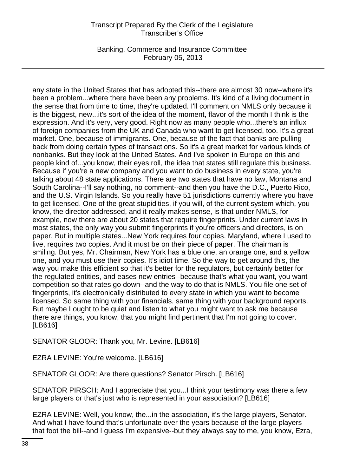Banking, Commerce and Insurance Committee February 05, 2013

any state in the United States that has adopted this--there are almost 30 now--where it's been a problem...where there have been any problems. It's kind of a living document in the sense that from time to time, they're updated. I'll comment on NMLS only because it is the biggest, new...it's sort of the idea of the moment, flavor of the month I think is the expression. And it's very, very good. Right now as many people who...there's an influx of foreign companies from the UK and Canada who want to get licensed, too. It's a great market. One, because of immigrants. One, because of the fact that banks are pulling back from doing certain types of transactions. So it's a great market for various kinds of nonbanks. But they look at the United States. And I've spoken in Europe on this and people kind of...you know, their eyes roll, the idea that states still regulate this business. Because if you're a new company and you want to do business in every state, you're talking about 48 state applications. There are two states that have no law, Montana and South Carolina--I'll say nothing, no comment--and then you have the D.C., Puerto Rico, and the U.S. Virgin Islands. So you really have 51 jurisdictions currently where you have to get licensed. One of the great stupidities, if you will, of the current system which, you know, the director addressed, and it really makes sense, is that under NMLS, for example, now there are about 20 states that require fingerprints. Under current laws in most states, the only way you submit fingerprints if you're officers and directors, is on paper. But in multiple states...New York requires four copies. Maryland, where I used to live, requires two copies. And it must be on their piece of paper. The chairman is smiling. But yes, Mr. Chairman, New York has a blue one, an orange one, and a yellow one, and you must use their copies. It's idiot time. So the way to get around this, the way you make this efficient so that it's better for the regulators, but certainly better for the regulated entities, and eases new entries--because that's what you want, you want competition so that rates go down--and the way to do that is NMLS. You file one set of fingerprints, it's electronically distributed to every state in which you want to become licensed. So same thing with your financials, same thing with your background reports. But maybe I ought to be quiet and listen to what you might want to ask me because there are things, you know, that you might find pertinent that I'm not going to cover. [LB616]

SENATOR GLOOR: Thank you, Mr. Levine. [LB616]

EZRA LEVINE: You're welcome. [LB616]

SENATOR GLOOR: Are there questions? Senator Pirsch. [LB616]

SENATOR PIRSCH: And I appreciate that you...I think your testimony was there a few large players or that's just who is represented in your association? [LB616]

EZRA LEVINE: Well, you know, the...in the association, it's the large players, Senator. And what I have found that's unfortunate over the years because of the large players that foot the bill--and I guess I'm expensive--but they always say to me, you know, Ezra,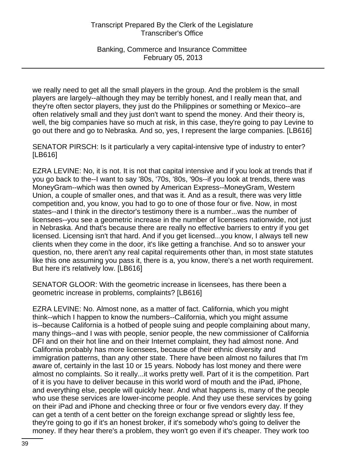Banking, Commerce and Insurance Committee February 05, 2013

we really need to get all the small players in the group. And the problem is the small players are largely--although they may be terribly honest, and I really mean that, and they're often sector players, they just do the Philippines or something or Mexico--are often relatively small and they just don't want to spend the money. And their theory is, well, the big companies have so much at risk, in this case, they're going to pay Levine to go out there and go to Nebraska. And so, yes, I represent the large companies. [LB616]

SENATOR PIRSCH: Is it particularly a very capital-intensive type of industry to enter? [LB616]

EZRA LEVINE: No, it is not. It is not that capital intensive and if you look at trends that if you go back to the--I want to say '80s, '70s, '80s, '90s--if you look at trends, there was MoneyGram--which was then owned by American Express--MoneyGram, Western Union, a couple of smaller ones, and that was it. And as a result, there was very little competition and, you know, you had to go to one of those four or five. Now, in most states--and I think in the director's testimony there is a number...was the number of licensees--you see a geometric increase in the number of licensees nationwide, not just in Nebraska. And that's because there are really no effective barriers to entry if you get licensed. Licensing isn't that hard. And if you get licensed...you know, I always tell new clients when they come in the door, it's like getting a franchise. And so to answer your question, no, there aren't any real capital requirements other than, in most state statutes like this one assuming you pass it, there is a, you know, there's a net worth requirement. But here it's relatively low. [LB616]

SENATOR GLOOR: With the geometric increase in licensees, has there been a geometric increase in problems, complaints? [LB616]

EZRA LEVINE: No. Almost none, as a matter of fact. California, which you might think--which I happen to know the numbers--California, which you might assume is--because California is a hotbed of people suing and people complaining about many, many things--and I was with people, senior people, the new commissioner of California DFI and on their hot line and on their Internet complaint, they had almost none. And California probably has more licensees, because of their ethnic diversity and immigration patterns, than any other state. There have been almost no failures that I'm aware of, certainly in the last 10 or 15 years. Nobody has lost money and there were almost no complaints. So it really...it works pretty well. Part of it is the competition. Part of it is you have to deliver because in this world word of mouth and the iPad, iPhone, and everything else, people will quickly hear. And what happens is, many of the people who use these services are lower-income people. And they use these services by going on their iPad and iPhone and checking three or four or five vendors every day. If they can get a tenth of a cent better on the foreign exchange spread or slightly less fee, they're going to go if it's an honest broker, if it's somebody who's going to deliver the money. If they hear there's a problem, they won't go even if it's cheaper. They work too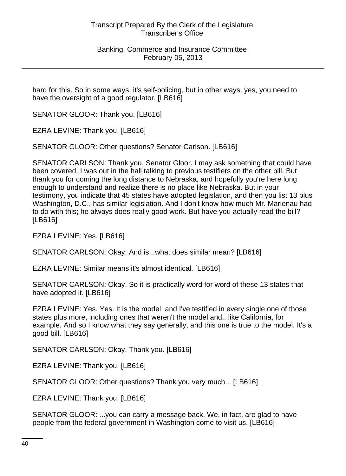hard for this. So in some ways, it's self-policing, but in other ways, yes, you need to have the oversight of a good regulator. [LB616]

SENATOR GLOOR: Thank you. [LB616]

EZRA LEVINE: Thank you. [LB616]

SENATOR GLOOR: Other questions? Senator Carlson. [LB616]

SENATOR CARLSON: Thank you, Senator Gloor. I may ask something that could have been covered. I was out in the hall talking to previous testifiers on the other bill. But thank you for coming the long distance to Nebraska, and hopefully you're here long enough to understand and realize there is no place like Nebraska. But in your testimony, you indicate that 45 states have adopted legislation, and then you list 13 plus Washington, D.C., has similar legislation. And I don't know how much Mr. Marienau had to do with this; he always does really good work. But have you actually read the bill? [LB616]

EZRA LEVINE: Yes. [LB616]

SENATOR CARLSON: Okay. And is...what does similar mean? [LB616]

EZRA LEVINE: Similar means it's almost identical. [LB616]

SENATOR CARLSON: Okay. So it is practically word for word of these 13 states that have adopted it. [LB616]

EZRA LEVINE: Yes. Yes. It is the model, and I've testified in every single one of those states plus more, including ones that weren't the model and...like California, for example. And so I know what they say generally, and this one is true to the model. It's a good bill. [LB616]

SENATOR CARLSON: Okay. Thank you. [LB616]

EZRA LEVINE: Thank you. [LB616]

SENATOR GLOOR: Other questions? Thank you very much... [LB616]

EZRA LEVINE: Thank you. [LB616]

SENATOR GLOOR: ...you can carry a message back. We, in fact, are glad to have people from the federal government in Washington come to visit us. [LB616]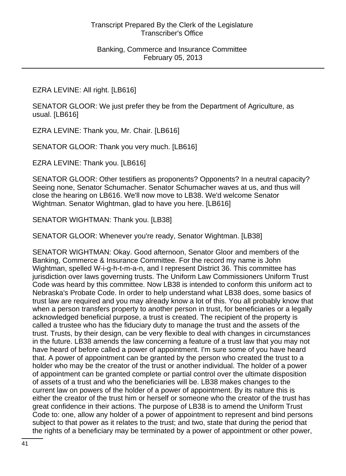## EZRA LEVINE: All right. [LB616]

SENATOR GLOOR: We just prefer they be from the Department of Agriculture, as usual. [LB616]

EZRA LEVINE: Thank you, Mr. Chair. [LB616]

SENATOR GLOOR: Thank you very much. [LB616]

EZRA LEVINE: Thank you. [LB616]

SENATOR GLOOR: Other testifiers as proponents? Opponents? In a neutral capacity? Seeing none, Senator Schumacher. Senator Schumacher waves at us, and thus will close the hearing on LB616. We'll now move to LB38. We'd welcome Senator Wightman. Senator Wightman, glad to have you here. [LB616]

SENATOR WIGHTMAN: Thank you. [LB38]

SENATOR GLOOR: Whenever you're ready, Senator Wightman. [LB38]

SENATOR WIGHTMAN: Okay. Good afternoon, Senator Gloor and members of the Banking, Commerce & Insurance Committee. For the record my name is John Wightman, spelled W-i-g-h-t-m-a-n, and I represent District 36. This committee has jurisdiction over laws governing trusts. The Uniform Law Commissioners Uniform Trust Code was heard by this committee. Now LB38 is intended to conform this uniform act to Nebraska's Probate Code. In order to help understand what LB38 does, some basics of trust law are required and you may already know a lot of this. You all probably know that when a person transfers property to another person in trust, for beneficiaries or a legally acknowledged beneficial purpose, a trust is created. The recipient of the property is called a trustee who has the fiduciary duty to manage the trust and the assets of the trust. Trusts, by their design, can be very flexible to deal with changes in circumstances in the future. LB38 amends the law concerning a feature of a trust law that you may not have heard of before called a power of appointment. I'm sure some of you have heard that. A power of appointment can be granted by the person who created the trust to a holder who may be the creator of the trust or another individual. The holder of a power of appointment can be granted complete or partial control over the ultimate disposition of assets of a trust and who the beneficiaries will be. LB38 makes changes to the current law on powers of the holder of a power of appointment. By its nature this is either the creator of the trust him or herself or someone who the creator of the trust has great confidence in their actions. The purpose of LB38 is to amend the Uniform Trust Code to: one, allow any holder of a power of appointment to represent and bind persons subject to that power as it relates to the trust; and two, state that during the period that the rights of a beneficiary may be terminated by a power of appointment or other power,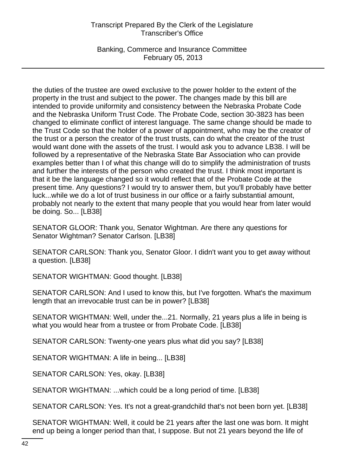Banking, Commerce and Insurance Committee February 05, 2013

the duties of the trustee are owed exclusive to the power holder to the extent of the property in the trust and subject to the power. The changes made by this bill are intended to provide uniformity and consistency between the Nebraska Probate Code and the Nebraska Uniform Trust Code. The Probate Code, section 30-3823 has been changed to eliminate conflict of interest language. The same change should be made to the Trust Code so that the holder of a power of appointment, who may be the creator of the trust or a person the creator of the trust trusts, can do what the creator of the trust would want done with the assets of the trust. I would ask you to advance LB38. I will be followed by a representative of the Nebraska State Bar Association who can provide examples better than I of what this change will do to simplify the administration of trusts and further the interests of the person who created the trust. I think most important is that it be the language changed so it would reflect that of the Probate Code at the present time. Any questions? I would try to answer them, but you'll probably have better luck...while we do a lot of trust business in our office or a fairly substantial amount, probably not nearly to the extent that many people that you would hear from later would be doing. So... [LB38]

SENATOR GLOOR: Thank you, Senator Wightman. Are there any questions for Senator Wightman? Senator Carlson. [LB38]

SENATOR CARLSON: Thank you, Senator Gloor. I didn't want you to get away without a question. [LB38]

SENATOR WIGHTMAN: Good thought. [LB38]

SENATOR CARLSON: And I used to know this, but I've forgotten. What's the maximum length that an irrevocable trust can be in power? [LB38]

SENATOR WIGHTMAN: Well, under the...21. Normally, 21 years plus a life in being is what you would hear from a trustee or from Probate Code. [LB38]

SENATOR CARLSON: Twenty-one years plus what did you say? [LB38]

SENATOR WIGHTMAN: A life in being... [LB38]

SENATOR CARLSON: Yes, okay. [LB38]

SENATOR WIGHTMAN: ...which could be a long period of time. [LB38]

SENATOR CARLSON: Yes. It's not a great-grandchild that's not been born yet. [LB38]

SENATOR WIGHTMAN: Well, it could be 21 years after the last one was born. It might end up being a longer period than that, I suppose. But not 21 years beyond the life of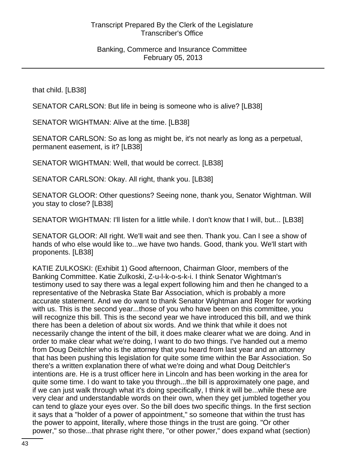that child. [LB38]

SENATOR CARLSON: But life in being is someone who is alive? [LB38]

SENATOR WIGHTMAN: Alive at the time. [LB38]

SENATOR CARLSON: So as long as might be, it's not nearly as long as a perpetual, permanent easement, is it? [LB38]

SENATOR WIGHTMAN: Well, that would be correct. [LB38]

SENATOR CARLSON: Okay. All right, thank you. [LB38]

SENATOR GLOOR: Other questions? Seeing none, thank you, Senator Wightman. Will you stay to close? [LB38]

SENATOR WIGHTMAN: I'll listen for a little while. I don't know that I will, but... [LB38]

SENATOR GLOOR: All right. We'll wait and see then. Thank you. Can I see a show of hands of who else would like to...we have two hands. Good, thank you. We'll start with proponents. [LB38]

KATIE ZULKOSKI: (Exhibit 1) Good afternoon, Chairman Gloor, members of the Banking Committee. Katie Zulkoski, Z-u-l-k-o-s-k-i. I think Senator Wightman's testimony used to say there was a legal expert following him and then he changed to a representative of the Nebraska State Bar Association, which is probably a more accurate statement. And we do want to thank Senator Wightman and Roger for working with us. This is the second year...those of you who have been on this committee, you will recognize this bill. This is the second year we have introduced this bill, and we think there has been a deletion of about six words. And we think that while it does not necessarily change the intent of the bill, it does make clearer what we are doing. And in order to make clear what we're doing, I want to do two things. I've handed out a memo from Doug Deitchler who is the attorney that you heard from last year and an attorney that has been pushing this legislation for quite some time within the Bar Association. So there's a written explanation there of what we're doing and what Doug Deitchler's intentions are. He is a trust officer here in Lincoln and has been working in the area for quite some time. I do want to take you through...the bill is approximately one page, and if we can just walk through what it's doing specifically, I think it will be...while these are very clear and understandable words on their own, when they get jumbled together you can tend to glaze your eyes over. So the bill does two specific things. In the first section it says that a "holder of a power of appointment," so someone that within the trust has the power to appoint, literally, where those things in the trust are going. "Or other power," so those...that phrase right there, "or other power," does expand what (section)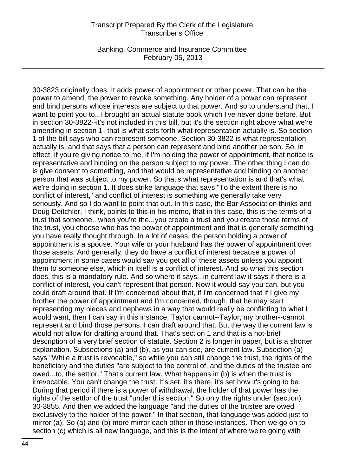Banking, Commerce and Insurance Committee February 05, 2013

30-3823 originally does. It adds power of appointment or other power. That can be the power to amend, the power to revoke something. Any holder of a power can represent and bind persons whose interests are subject to that power. And so to understand that, I want to point you to...I brought an actual statute book which I've never done before. But in section 30-3822--it's not included in this bill, but it's the section right above what we're amending in section 1--that is what sets forth what representation actually is. So section 1 of the bill says who can represent someone. Section 30-3822 is what representation actually is, and that says that a person can represent and bind another person. So, in effect, if you're giving notice to me, if I'm holding the power of appointment, that notice is representative and binding on the person subject to my power. The other thing I can do is give consent to something, and that would be representative and binding on another person that was subject to my power. So that's what representation is and that's what we're doing in section 1. It does strike language that says "To the extent there is no conflict of interest," and conflict of interest is something we generally take very seriously. And so I do want to point that out. In this case, the Bar Association thinks and Doug Deitchler, I think, points to this in his memo, that in this case, this is the terms of a trust that someone...when you're the...you create a trust and you create those terms of the trust, you choose who has the power of appointment and that is generally something you have really thought through. In a lot of cases, the person holding a power of appointment is a spouse. Your wife or your husband has the power of appointment over those assets. And generally, they do have a conflict of interest because a power of appointment in some cases would say you get all of these assets unless you appoint them to someone else, which in itself is a conflict of interest. And so what this section does, this is a mandatory rule. And so where it says...in current law it says if there is a conflict of interest, you can't represent that person. Now it would say you can, but you could draft around that. If I'm concerned about that, if I'm concerned that if I give my brother the power of appointment and I'm concerned, though, that he may start representing my nieces and nephews in a way that would really be conflicting to what I would want, then I can say in this instance, Taylor cannot--Taylor, my brother--cannot represent and bind those persons. I can draft around that. But the way the current law is would not allow for drafting around that. That's section 1 and that is a not-brief description of a very brief section of statute. Section 2 is longer in paper, but is a shorter explanation. Subsections (a) and (b), as you can see, are current law. Subsection (a) says "While a trust is revocable," so while you can still change the trust, the rights of the beneficiary and the duties "are subject to the control of, and the duties of the trustee are owed...to, the settlor." That's current law. What happens in (b) is when the trust is irrevocable. You can't change the trust. It's set, it's there, it's set how it's going to be. During that period if there is a power of withdrawal, the holder of that power has the rights of the settlor of the trust "under this section." So only the rights under (section) 30-3855. And then we added the language "and the duties of the trustee are owed exclusively to the holder of the power." In that section, that language was added just to mirror (a). So (a) and (b) more mirror each other in those instances. Then we go on to section (c) which is all new language, and this is the intent of where we're going with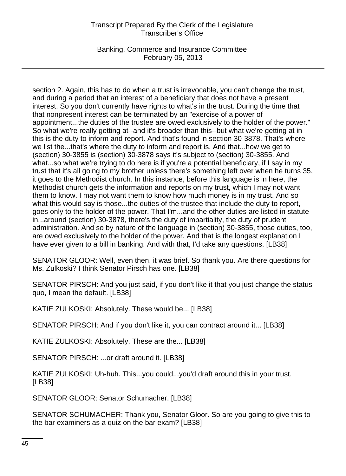Banking, Commerce and Insurance Committee February 05, 2013

section 2. Again, this has to do when a trust is irrevocable, you can't change the trust, and during a period that an interest of a beneficiary that does not have a present interest. So you don't currently have rights to what's in the trust. During the time that that nonpresent interest can be terminated by an "exercise of a power of appointment...the duties of the trustee are owed exclusively to the holder of the power." So what we're really getting at--and it's broader than this--but what we're getting at in this is the duty to inform and report. And that's found in section 30-3878. That's where we list the...that's where the duty to inform and report is. And that...how we get to (section) 30-3855 is (section) 30-3878 says it's subject to (section) 30-3855. And what...so what we're trying to do here is if you're a potential beneficiary, if I say in my trust that it's all going to my brother unless there's something left over when he turns 35, it goes to the Methodist church. In this instance, before this language is in here, the Methodist church gets the information and reports on my trust, which I may not want them to know. I may not want them to know how much money is in my trust. And so what this would say is those...the duties of the trustee that include the duty to report, goes only to the holder of the power. That I'm...and the other duties are listed in statute in...around (section) 30-3878, there's the duty of impartiality, the duty of prudent administration. And so by nature of the language in (section) 30-3855, those duties, too, are owed exclusively to the holder of the power. And that is the longest explanation I have ever given to a bill in banking. And with that, I'd take any questions. [LB38]

SENATOR GLOOR: Well, even then, it was brief. So thank you. Are there questions for Ms. Zulkoski? I think Senator Pirsch has one. [LB38]

SENATOR PIRSCH: And you just said, if you don't like it that you just change the status quo, I mean the default. [LB38]

KATIE ZULKOSKI: Absolutely. These would be... [LB38]

SENATOR PIRSCH: And if you don't like it, you can contract around it... [LB38]

KATIE ZULKOSKI: Absolutely. These are the... [LB38]

SENATOR PIRSCH: ...or draft around it. [LB38]

KATIE ZULKOSKI: Uh-huh. This...you could...you'd draft around this in your trust. [LB38]

SENATOR GLOOR: Senator Schumacher. [LB38]

SENATOR SCHUMACHER: Thank you, Senator Gloor. So are you going to give this to the bar examiners as a quiz on the bar exam? [LB38]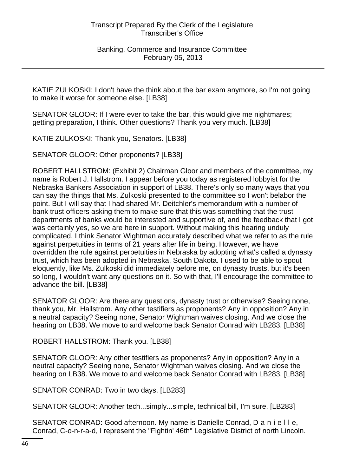KATIE ZULKOSKI: I don't have the think about the bar exam anymore, so I'm not going to make it worse for someone else. [LB38]

SENATOR GLOOR: If I were ever to take the bar, this would give me nightmares; getting preparation, I think. Other questions? Thank you very much. [LB38]

KATIE ZULKOSKI: Thank you, Senators. [LB38]

SENATOR GLOOR: Other proponents? [LB38]

ROBERT HALLSTROM: (Exhibit 2) Chairman Gloor and members of the committee, my name is Robert J. Hallstrom. I appear before you today as registered lobbyist for the Nebraska Bankers Association in support of LB38. There's only so many ways that you can say the things that Ms. Zulkoski presented to the committee so I won't belabor the point. But I will say that I had shared Mr. Deitchler's memorandum with a number of bank trust officers asking them to make sure that this was something that the trust departments of banks would be interested and supportive of, and the feedback that I got was certainly yes, so we are here in support. Without making this hearing unduly complicated, I think Senator Wightman accurately described what we refer to as the rule against perpetuities in terms of 21 years after life in being. However, we have overridden the rule against perpetuities in Nebraska by adopting what's called a dynasty trust, which has been adopted in Nebraska, South Dakota. I used to be able to spout eloquently, like Ms. Zulkoski did immediately before me, on dynasty trusts, but it's been so long, I wouldn't want any questions on it. So with that, I'll encourage the committee to advance the bill. [LB38]

SENATOR GLOOR: Are there any questions, dynasty trust or otherwise? Seeing none, thank you, Mr. Hallstrom. Any other testifiers as proponents? Any in opposition? Any in a neutral capacity? Seeing none, Senator Wightman waives closing. And we close the hearing on LB38. We move to and welcome back Senator Conrad with LB283. [LB38]

ROBERT HALLSTROM: Thank you. [LB38]

SENATOR GLOOR: Any other testifiers as proponents? Any in opposition? Any in a neutral capacity? Seeing none, Senator Wightman waives closing. And we close the hearing on LB38. We move to and welcome back Senator Conrad with LB283. [LB38]

SENATOR CONRAD: Two in two days. [LB283]

SENATOR GLOOR: Another tech...simply...simple, technical bill, I'm sure. [LB283]

SENATOR CONRAD: Good afternoon. My name is Danielle Conrad, D-a-n-i-e-l-l-e, Conrad, C-o-n-r-a-d, I represent the "Fightin' 46th" Legislative District of north Lincoln.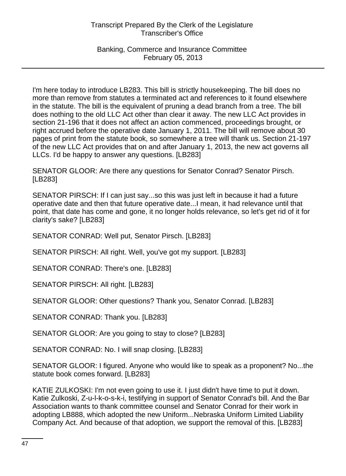## Banking, Commerce and Insurance Committee February 05, 2013

I'm here today to introduce LB283. This bill is strictly housekeeping. The bill does no more than remove from statutes a terminated act and references to it found elsewhere in the statute. The bill is the equivalent of pruning a dead branch from a tree. The bill does nothing to the old LLC Act other than clear it away. The new LLC Act provides in section 21-196 that it does not affect an action commenced, proceedings brought, or right accrued before the operative date January 1, 2011. The bill will remove about 30 pages of print from the statute book, so somewhere a tree will thank us. Section 21-197 of the new LLC Act provides that on and after January 1, 2013, the new act governs all LLCs. I'd be happy to answer any questions. [LB283]

SENATOR GLOOR: Are there any questions for Senator Conrad? Senator Pirsch. [LB283]

SENATOR PIRSCH: If I can just say...so this was just left in because it had a future operative date and then that future operative date...I mean, it had relevance until that point, that date has come and gone, it no longer holds relevance, so let's get rid of it for clarity's sake? [LB283]

SENATOR CONRAD: Well put, Senator Pirsch. [LB283]

SENATOR PIRSCH: All right. Well, you've got my support. [LB283]

SENATOR CONRAD: There's one. [LB283]

SENATOR PIRSCH: All right. [LB283]

SENATOR GLOOR: Other questions? Thank you, Senator Conrad. [LB283]

SENATOR CONRAD: Thank you. [LB283]

SENATOR GLOOR: Are you going to stay to close? [LB283]

SENATOR CONRAD: No. I will snap closing. [LB283]

SENATOR GLOOR: I figured. Anyone who would like to speak as a proponent? No...the statute book comes forward. [LB283]

KATIE ZULKOSKI: I'm not even going to use it. I just didn't have time to put it down. Katie Zulkoski, Z-u-l-k-o-s-k-i, testifying in support of Senator Conrad's bill. And the Bar Association wants to thank committee counsel and Senator Conrad for their work in adopting LB888, which adopted the new Uniform...Nebraska Uniform Limited Liability Company Act. And because of that adoption, we support the removal of this. [LB283]